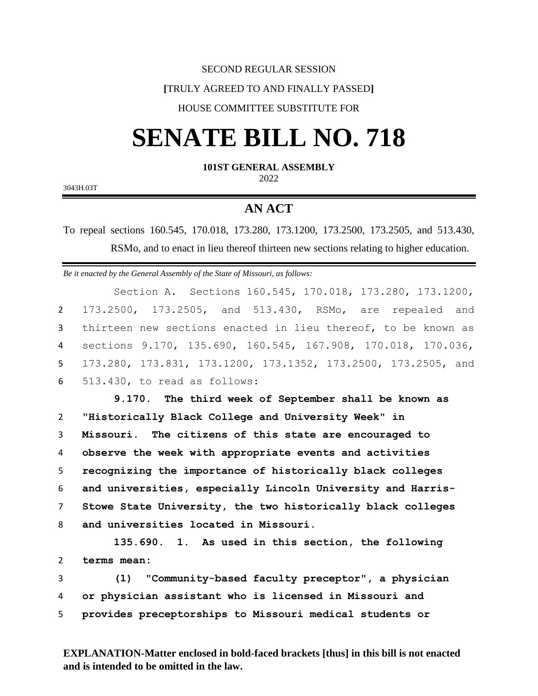#### SECOND REGULAR SESSION

# **[**TRULY AGREED TO AND FINALLY PASSED**]**

# HOUSE COMMITTEE SUBSTITUTE FOR

# **SENATE BILL NO. 718**

## **101ST GENERAL ASSEMBLY**

2022

3043H.03T

# **AN ACT**

To repeal sections 160.545, 170.018, 173.280, 173.1200, 173.2500, 173.2505, and 513.430, RSMo, and to enact in lieu thereof thirteen new sections relating to higher education.

*Be it enacted by the General Assembly of the State of Missouri, as follows:*

Section A. Sections 160.545, 170.018, 173.280, 173.1200, 173.2500, 173.2505, and 513.430, RSMo, are repealed and thirteen new sections enacted in lieu thereof, to be known as sections 9.170, 135.690, 160.545, 167.908, 170.018, 170.036, 173.280, 173.831, 173.1200, 173.1352, 173.2500, 173.2505, and 513.430, to read as follows:

 **9.170. The third week of September shall be known as "Historically Black College and University Week" in Missouri. The citizens of this state are encouraged to observe the week with appropriate events and activities recognizing the importance of historically black colleges and universities, especially Lincoln University and Harris- Stowe State University, the two historically black colleges and universities located in Missouri.**

1 **135.690. 1. As used in this section, the following**  2 **terms mean:**

3 **(1) "Community-based faculty preceptor", a physician**  4 **or physician assistant who is licensed in Missouri and**  5 **provides preceptorships to Missouri medical students or** 

**EXPLANATION-Matter enclosed in bold-faced brackets [thus] in this bill is not enacted and is intended to be omitted in the law.**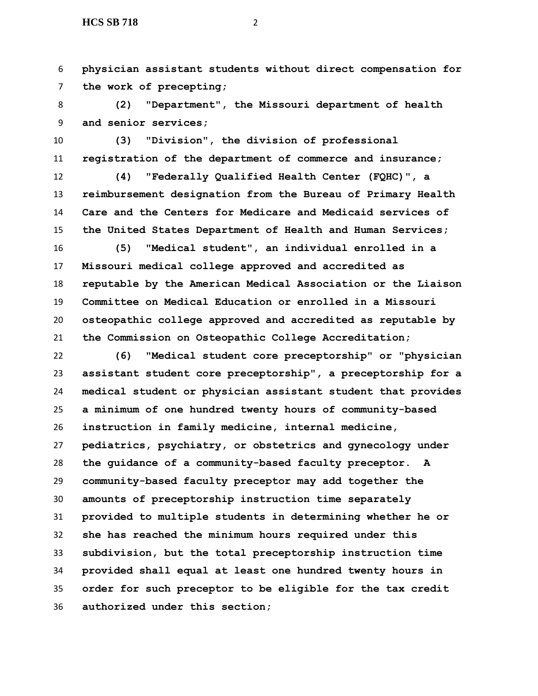**physician assistant students without direct compensation for the work of precepting;**

 **(2) "Department", the Missouri department of health and senior services;**

 **(3) "Division", the division of professional registration of the department of commerce and insurance;**

 **(4) "Federally Qualified Health Center (FQHC)", a reimbursement designation from the Bureau of Primary Health Care and the Centers for Medicare and Medicaid services of the United States Department of Health and Human Services;**

 **(5) "Medical student", an individual enrolled in a Missouri medical college approved and accredited as reputable by the American Medical Association or the Liaison Committee on Medical Education or enrolled in a Missouri osteopathic college approved and accredited as reputable by the Commission on Osteopathic College Accreditation;**

 **(6) "Medical student core preceptorship" or "physician assistant student core preceptorship", a preceptorship for a medical student or physician assistant student that provides a minimum of one hundred twenty hours of community-based instruction in family medicine, internal medicine, pediatrics, psychiatry, or obstetrics and gynecology under the guidance of a community-based faculty preceptor. A community-based faculty preceptor may add together the amounts of preceptorship instruction time separately provided to multiple students in determining whether he or she has reached the minimum hours required under this subdivision, but the total preceptorship instruction time provided shall equal at least one hundred twenty hours in order for such preceptor to be eligible for the tax credit authorized under this section;**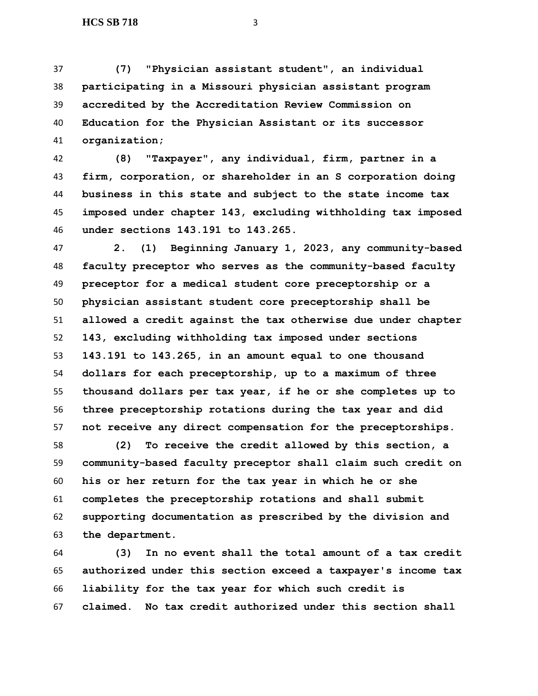**(7) "Physician assistant student", an individual participating in a Missouri physician assistant program accredited by the Accreditation Review Commission on Education for the Physician Assistant or its successor organization;**

 **(8) "Taxpayer", any individual, firm, partner in a firm, corporation, or shareholder in an S corporation doing business in this state and subject to the state income tax imposed under chapter 143, excluding withholding tax imposed under sections 143.191 to 143.265.**

 **2. (1) Beginning January 1, 2023, any community-based faculty preceptor who serves as the community-based faculty preceptor for a medical student core preceptorship or a physician assistant student core preceptorship shall be allowed a credit against the tax otherwise due under chapter 143, excluding withholding tax imposed under sections 143.191 to 143.265, in an amount equal to one thousand dollars for each preceptorship, up to a maximum of three thousand dollars per tax year, if he or she completes up to three preceptorship rotations during the tax year and did not receive any direct compensation for the preceptorships.**

 **(2) To receive the credit allowed by this section, a community-based faculty preceptor shall claim such credit on his or her return for the tax year in which he or she completes the preceptorship rotations and shall submit supporting documentation as prescribed by the division and the department.**

 **(3) In no event shall the total amount of a tax credit authorized under this section exceed a taxpayer's income tax liability for the tax year for which such credit is claimed. No tax credit authorized under this section shall**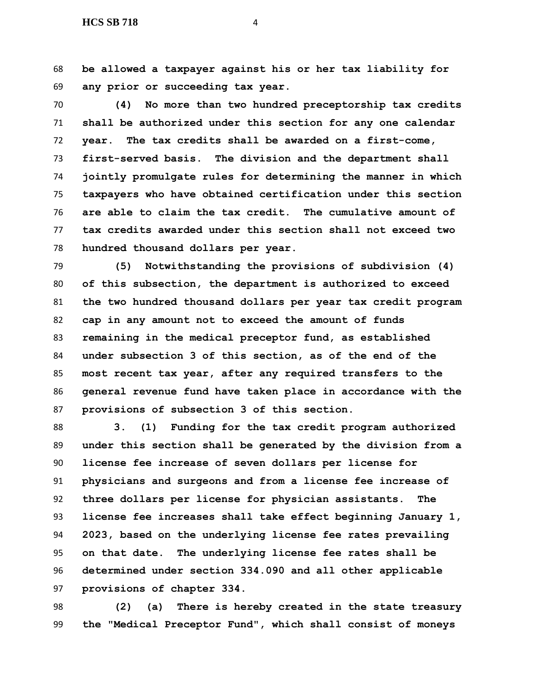**be allowed a taxpayer against his or her tax liability for any prior or succeeding tax year.**

 **(4) No more than two hundred preceptorship tax credits shall be authorized under this section for any one calendar year. The tax credits shall be awarded on a first-come, first-served basis. The division and the department shall jointly promulgate rules for determining the manner in which taxpayers who have obtained certification under this section are able to claim the tax credit. The cumulative amount of tax credits awarded under this section shall not exceed two hundred thousand dollars per year.**

 **(5) Notwithstanding the provisions of subdivision (4) of this subsection, the department is authorized to exceed the two hundred thousand dollars per year tax credit program cap in any amount not to exceed the amount of funds remaining in the medical preceptor fund, as established under subsection 3 of this section, as of the end of the most recent tax year, after any required transfers to the general revenue fund have taken place in accordance with the provisions of subsection 3 of this section.**

 **3. (1) Funding for the tax credit program authorized under this section shall be generated by the division from a license fee increase of seven dollars per license for physicians and surgeons and from a license fee increase of three dollars per license for physician assistants. The license fee increases shall take effect beginning January 1, 2023, based on the underlying license fee rates prevailing on that date. The underlying license fee rates shall be determined under section 334.090 and all other applicable provisions of chapter 334.**

 **(2) (a) There is hereby created in the state treasury the "Medical Preceptor Fund", which shall consist of moneys**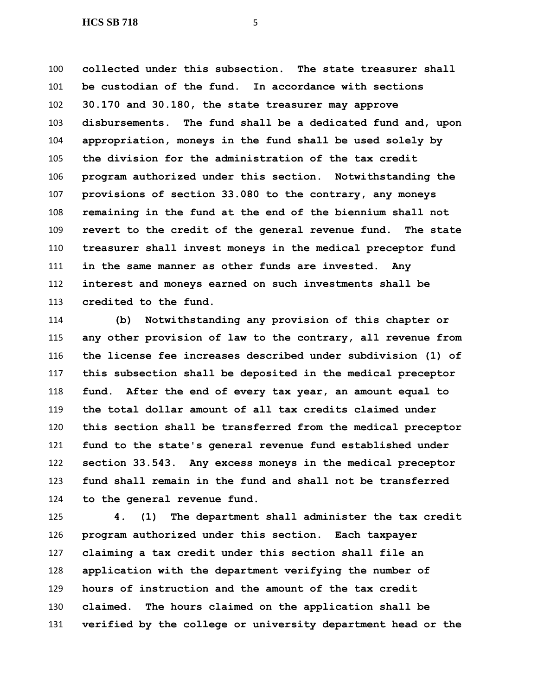**collected under this subsection. The state treasurer shall be custodian of the fund. In accordance with sections 30.170 and 30.180, the state treasurer may approve disbursements. The fund shall be a dedicated fund and, upon appropriation, moneys in the fund shall be used solely by the division for the administration of the tax credit program authorized under this section. Notwithstanding the provisions of section 33.080 to the contrary, any moneys remaining in the fund at the end of the biennium shall not revert to the credit of the general revenue fund. The state treasurer shall invest moneys in the medical preceptor fund in the same manner as other funds are invested. Any interest and moneys earned on such investments shall be credited to the fund.**

 **(b) Notwithstanding any provision of this chapter or any other provision of law to the contrary, all revenue from the license fee increases described under subdivision (1) of this subsection shall be deposited in the medical preceptor fund. After the end of every tax year, an amount equal to the total dollar amount of all tax credits claimed under this section shall be transferred from the medical preceptor fund to the state's general revenue fund established under section 33.543. Any excess moneys in the medical preceptor fund shall remain in the fund and shall not be transferred to the general revenue fund.**

 **4. (1) The department shall administer the tax credit program authorized under this section. Each taxpayer claiming a tax credit under this section shall file an application with the department verifying the number of hours of instruction and the amount of the tax credit claimed. The hours claimed on the application shall be verified by the college or university department head or the**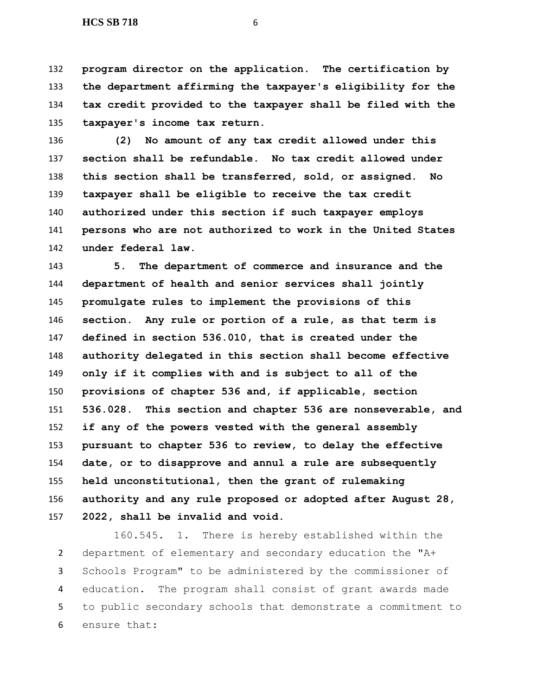**HCS SB 718** 6

 **program director on the application. The certification by the department affirming the taxpayer's eligibility for the tax credit provided to the taxpayer shall be filed with the taxpayer's income tax return.**

 **(2) No amount of any tax credit allowed under this section shall be refundable. No tax credit allowed under this section shall be transferred, sold, or assigned. No taxpayer shall be eligible to receive the tax credit authorized under this section if such taxpayer employs persons who are not authorized to work in the United States under federal law.**

 **5. The department of commerce and insurance and the department of health and senior services shall jointly promulgate rules to implement the provisions of this section. Any rule or portion of a rule, as that term is defined in section 536.010, that is created under the authority delegated in this section shall become effective only if it complies with and is subject to all of the provisions of chapter 536 and, if applicable, section 536.028. This section and chapter 536 are nonseverable, and if any of the powers vested with the general assembly pursuant to chapter 536 to review, to delay the effective date, or to disapprove and annul a rule are subsequently held unconstitutional, then the grant of rulemaking authority and any rule proposed or adopted after August 28, 2022, shall be invalid and void.**

 160.545. 1. There is hereby established within the department of elementary and secondary education the "A+ Schools Program" to be administered by the commissioner of education. The program shall consist of grant awards made to public secondary schools that demonstrate a commitment to ensure that: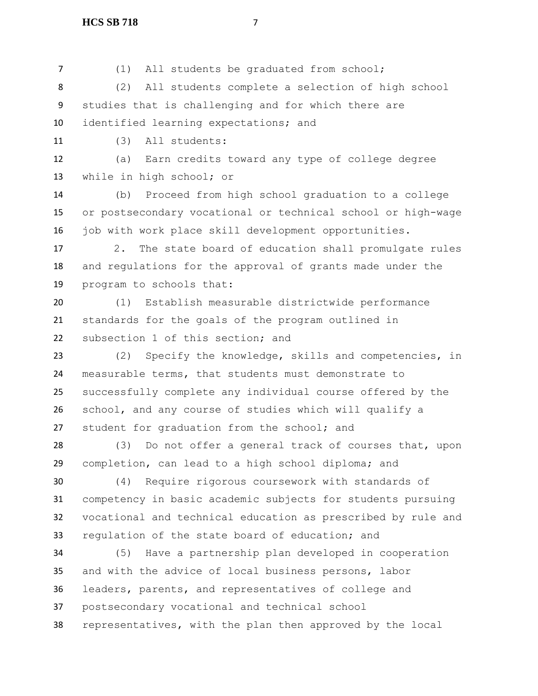(1) All students be graduated from school;

 (2) All students complete a selection of high school studies that is challenging and for which there are identified learning expectations; and

(3) All students:

 (a) Earn credits toward any type of college degree while in high school; or

 (b) Proceed from high school graduation to a college or postsecondary vocational or technical school or high-wage job with work place skill development opportunities.

 2. The state board of education shall promulgate rules and regulations for the approval of grants made under the program to schools that:

 (1) Establish measurable districtwide performance standards for the goals of the program outlined in subsection 1 of this section; and

 (2) Specify the knowledge, skills and competencies, in measurable terms, that students must demonstrate to successfully complete any individual course offered by the school, and any course of studies which will qualify a student for graduation from the school; and

 (3) Do not offer a general track of courses that, upon completion, can lead to a high school diploma; and

 (4) Require rigorous coursework with standards of competency in basic academic subjects for students pursuing vocational and technical education as prescribed by rule and regulation of the state board of education; and

 (5) Have a partnership plan developed in cooperation and with the advice of local business persons, labor leaders, parents, and representatives of college and postsecondary vocational and technical school representatives, with the plan then approved by the local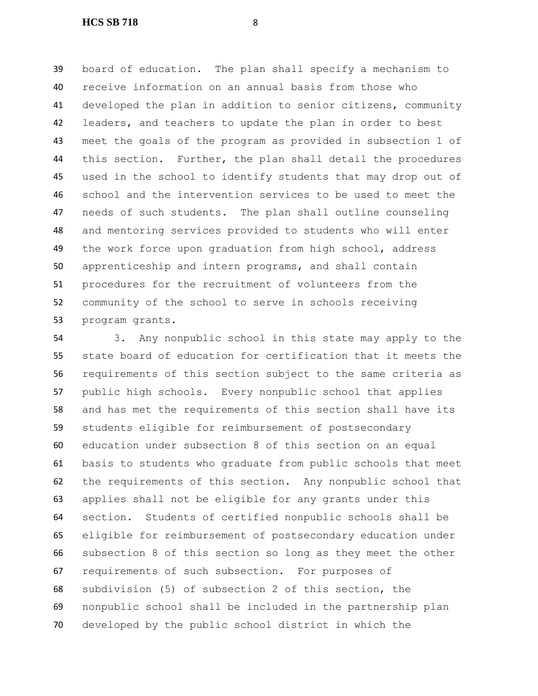board of education. The plan shall specify a mechanism to receive information on an annual basis from those who developed the plan in addition to senior citizens, community leaders, and teachers to update the plan in order to best meet the goals of the program as provided in subsection 1 of this section. Further, the plan shall detail the procedures used in the school to identify students that may drop out of school and the intervention services to be used to meet the needs of such students. The plan shall outline counseling and mentoring services provided to students who will enter the work force upon graduation from high school, address apprenticeship and intern programs, and shall contain procedures for the recruitment of volunteers from the community of the school to serve in schools receiving program grants.

 3. Any nonpublic school in this state may apply to the state board of education for certification that it meets the requirements of this section subject to the same criteria as public high schools. Every nonpublic school that applies and has met the requirements of this section shall have its students eligible for reimbursement of postsecondary education under subsection 8 of this section on an equal basis to students who graduate from public schools that meet the requirements of this section. Any nonpublic school that applies shall not be eligible for any grants under this section. Students of certified nonpublic schools shall be eligible for reimbursement of postsecondary education under subsection 8 of this section so long as they meet the other requirements of such subsection. For purposes of subdivision (5) of subsection 2 of this section, the nonpublic school shall be included in the partnership plan developed by the public school district in which the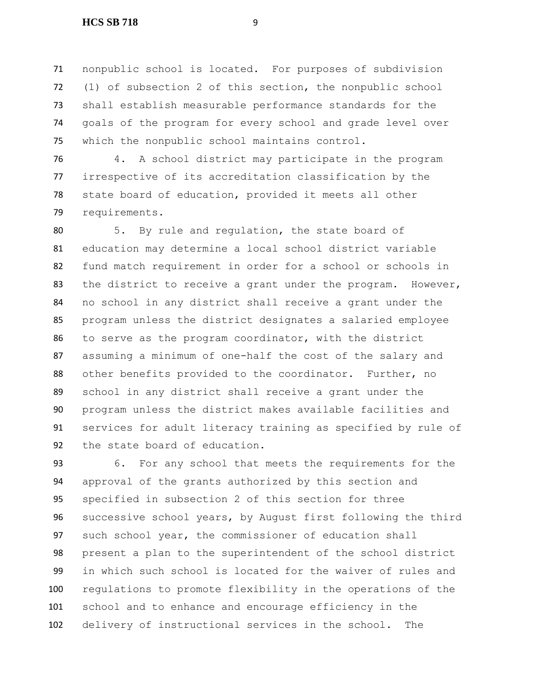nonpublic school is located. For purposes of subdivision (1) of subsection 2 of this section, the nonpublic school shall establish measurable performance standards for the goals of the program for every school and grade level over which the nonpublic school maintains control.

 4. A school district may participate in the program irrespective of its accreditation classification by the state board of education, provided it meets all other requirements.

 5. By rule and regulation, the state board of education may determine a local school district variable fund match requirement in order for a school or schools in 83 the district to receive a grant under the program. However, no school in any district shall receive a grant under the program unless the district designates a salaried employee to serve as the program coordinator, with the district assuming a minimum of one-half the cost of the salary and other benefits provided to the coordinator. Further, no school in any district shall receive a grant under the program unless the district makes available facilities and services for adult literacy training as specified by rule of the state board of education.

 6. For any school that meets the requirements for the approval of the grants authorized by this section and specified in subsection 2 of this section for three successive school years, by August first following the third such school year, the commissioner of education shall present a plan to the superintendent of the school district in which such school is located for the waiver of rules and regulations to promote flexibility in the operations of the school and to enhance and encourage efficiency in the delivery of instructional services in the school. The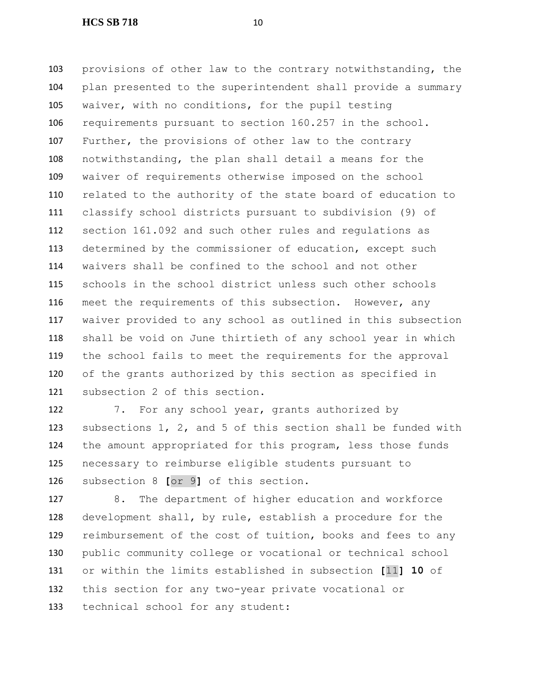provisions of other law to the contrary notwithstanding, the plan presented to the superintendent shall provide a summary waiver, with no conditions, for the pupil testing requirements pursuant to section 160.257 in the school. Further, the provisions of other law to the contrary notwithstanding, the plan shall detail a means for the waiver of requirements otherwise imposed on the school related to the authority of the state board of education to classify school districts pursuant to subdivision (9) of section 161.092 and such other rules and regulations as determined by the commissioner of education, except such waivers shall be confined to the school and not other schools in the school district unless such other schools meet the requirements of this subsection. However, any waiver provided to any school as outlined in this subsection shall be void on June thirtieth of any school year in which the school fails to meet the requirements for the approval of the grants authorized by this section as specified in subsection 2 of this section.

 7. For any school year, grants authorized by subsections 1, 2, and 5 of this section shall be funded with the amount appropriated for this program, less those funds necessary to reimburse eligible students pursuant to subsection 8 **[**or 9**]** of this section.

 8. The department of higher education and workforce development shall, by rule, establish a procedure for the reimbursement of the cost of tuition, books and fees to any public community college or vocational or technical school or within the limits established in subsection **[**11**] 10** of this section for any two-year private vocational or technical school for any student: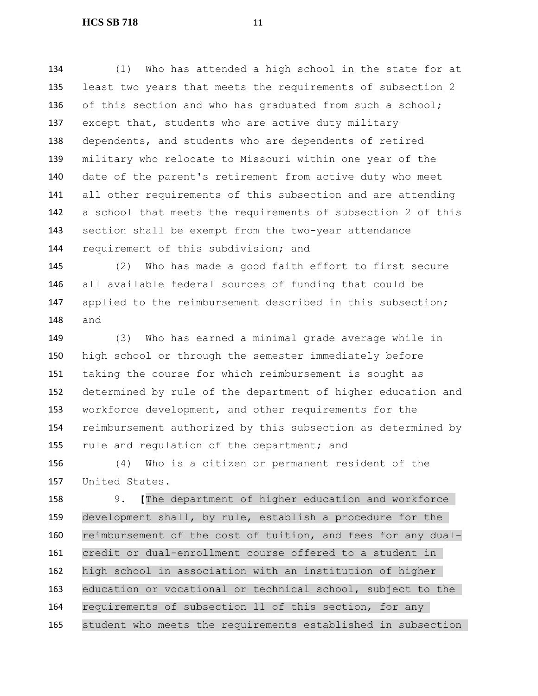(1) Who has attended a high school in the state for at least two years that meets the requirements of subsection 2 136 of this section and who has graduated from such a school; except that, students who are active duty military dependents, and students who are dependents of retired military who relocate to Missouri within one year of the date of the parent's retirement from active duty who meet all other requirements of this subsection and are attending a school that meets the requirements of subsection 2 of this section shall be exempt from the two-year attendance 144 requirement of this subdivision; and

 (2) Who has made a good faith effort to first secure all available federal sources of funding that could be applied to the reimbursement described in this subsection; and

 (3) Who has earned a minimal grade average while in high school or through the semester immediately before taking the course for which reimbursement is sought as determined by rule of the department of higher education and workforce development, and other requirements for the reimbursement authorized by this subsection as determined by 155 rule and regulation of the department; and

 (4) Who is a citizen or permanent resident of the United States.

 9. **[**The department of higher education and workforce development shall, by rule, establish a procedure for the reimbursement of the cost of tuition, and fees for any dual- credit or dual-enrollment course offered to a student in high school in association with an institution of higher education or vocational or technical school, subject to the requirements of subsection 11 of this section, for any student who meets the requirements established in subsection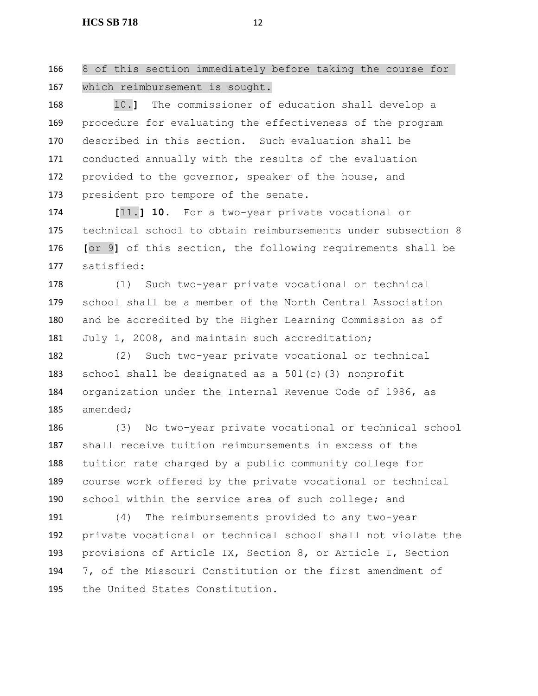8 of this section immediately before taking the course for which reimbursement is sought.

 10.**]** The commissioner of education shall develop a procedure for evaluating the effectiveness of the program described in this section. Such evaluation shall be conducted annually with the results of the evaluation 172 provided to the governor, speaker of the house, and 173 president pro tempore of the senate.

 **[**11.**] 10.** For a two-year private vocational or technical school to obtain reimbursements under subsection 8 **[**or 9**]** of this section, the following requirements shall be satisfied:

 (1) Such two-year private vocational or technical school shall be a member of the North Central Association and be accredited by the Higher Learning Commission as of July 1, 2008, and maintain such accreditation;

 (2) Such two-year private vocational or technical school shall be designated as a 501(c)(3) nonprofit organization under the Internal Revenue Code of 1986, as amended;

 (3) No two-year private vocational or technical school shall receive tuition reimbursements in excess of the tuition rate charged by a public community college for course work offered by the private vocational or technical school within the service area of such college; and

 (4) The reimbursements provided to any two-year private vocational or technical school shall not violate the provisions of Article IX, Section 8, or Article I, Section 7, of the Missouri Constitution or the first amendment of the United States Constitution.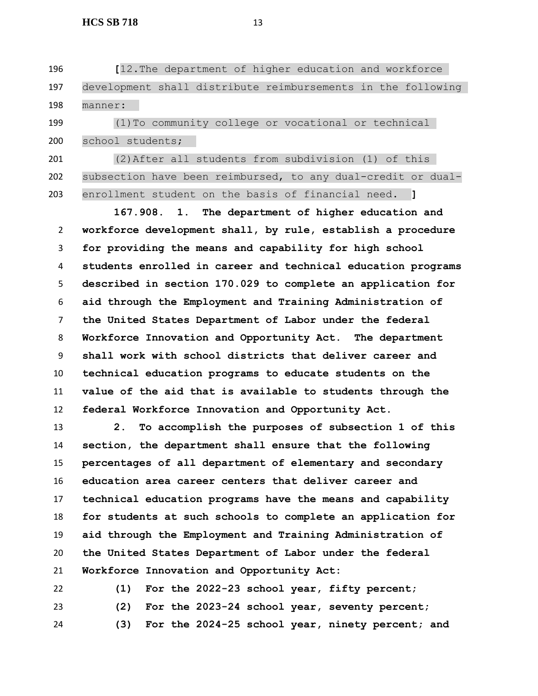**[**12.The department of higher education and workforce development shall distribute reimbursements in the following manner: (1)To community college or vocational or technical

school students;

 (2)After all students from subdivision (1) of this subsection have been reimbursed, to any dual-credit or dual-enrollment student on the basis of financial need. **]**

 **167.908. 1. The department of higher education and workforce development shall, by rule, establish a procedure for providing the means and capability for high school students enrolled in career and technical education programs described in section 170.029 to complete an application for aid through the Employment and Training Administration of the United States Department of Labor under the federal Workforce Innovation and Opportunity Act. The department shall work with school districts that deliver career and technical education programs to educate students on the value of the aid that is available to students through the federal Workforce Innovation and Opportunity Act.**

 **2. To accomplish the purposes of subsection 1 of this section, the department shall ensure that the following percentages of all department of elementary and secondary education area career centers that deliver career and technical education programs have the means and capability for students at such schools to complete an application for aid through the Employment and Training Administration of the United States Department of Labor under the federal Workforce Innovation and Opportunity Act:**

 **(1) For the 2022-23 school year, fifty percent; (2) For the 2023-24 school year, seventy percent; (3) For the 2024-25 school year, ninety percent; and**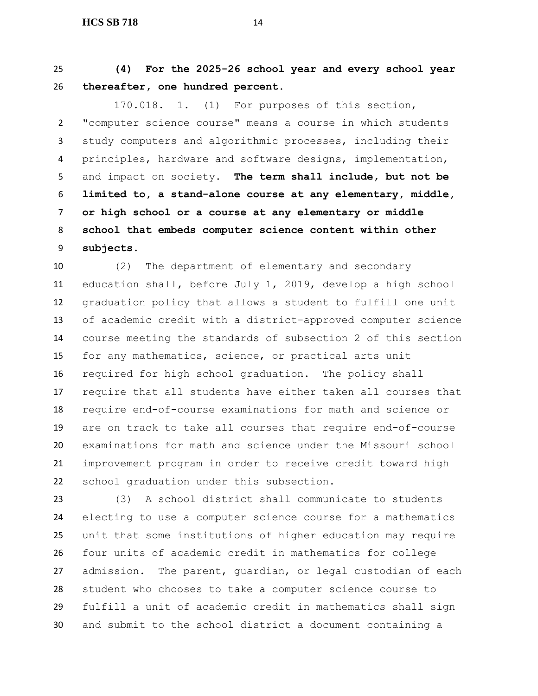**(4) For the 2025-26 school year and every school year thereafter, one hundred percent.**

 170.018. 1. (1) For purposes of this section, "computer science course" means a course in which students study computers and algorithmic processes, including their principles, hardware and software designs, implementation, and impact on society. **The term shall include, but not be limited to, a stand-alone course at any elementary, middle, or high school or a course at any elementary or middle school that embeds computer science content within other subjects.**

 (2) The department of elementary and secondary education shall, before July 1, 2019, develop a high school graduation policy that allows a student to fulfill one unit of academic credit with a district-approved computer science course meeting the standards of subsection 2 of this section for any mathematics, science, or practical arts unit required for high school graduation. The policy shall require that all students have either taken all courses that require end-of-course examinations for math and science or are on track to take all courses that require end-of-course examinations for math and science under the Missouri school improvement program in order to receive credit toward high school graduation under this subsection.

 (3) A school district shall communicate to students electing to use a computer science course for a mathematics unit that some institutions of higher education may require four units of academic credit in mathematics for college admission. The parent, guardian, or legal custodian of each student who chooses to take a computer science course to fulfill a unit of academic credit in mathematics shall sign and submit to the school district a document containing a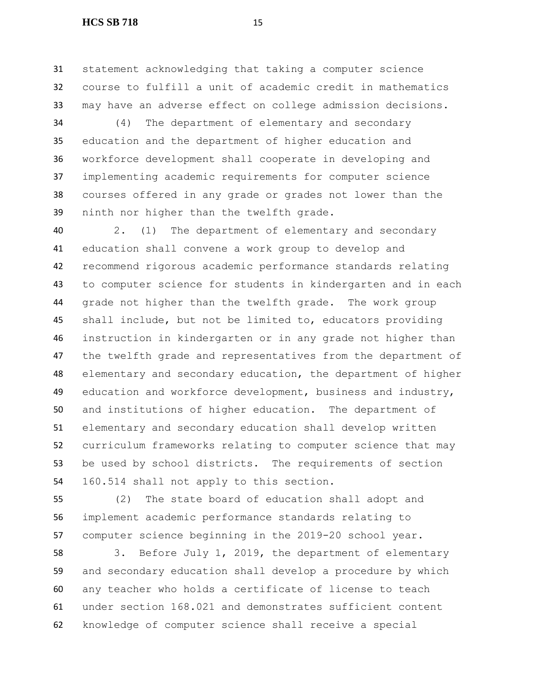#### **HCS SB 718** 15

 statement acknowledging that taking a computer science course to fulfill a unit of academic credit in mathematics may have an adverse effect on college admission decisions.

 (4) The department of elementary and secondary education and the department of higher education and workforce development shall cooperate in developing and implementing academic requirements for computer science courses offered in any grade or grades not lower than the ninth nor higher than the twelfth grade.

 2. (1) The department of elementary and secondary education shall convene a work group to develop and recommend rigorous academic performance standards relating to computer science for students in kindergarten and in each grade not higher than the twelfth grade. The work group shall include, but not be limited to, educators providing instruction in kindergarten or in any grade not higher than the twelfth grade and representatives from the department of elementary and secondary education, the department of higher education and workforce development, business and industry, and institutions of higher education. The department of elementary and secondary education shall develop written curriculum frameworks relating to computer science that may be used by school districts. The requirements of section 160.514 shall not apply to this section.

 (2) The state board of education shall adopt and implement academic performance standards relating to computer science beginning in the 2019-20 school year.

 3. Before July 1, 2019, the department of elementary and secondary education shall develop a procedure by which any teacher who holds a certificate of license to teach under section 168.021 and demonstrates sufficient content knowledge of computer science shall receive a special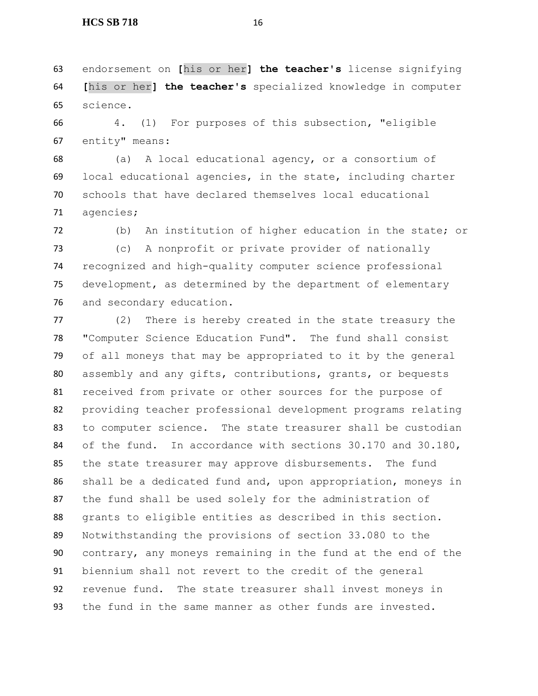endorsement on **[**his or her**] the teacher's** license signifying **[**his or her**] the teacher's** specialized knowledge in computer science.

 4. (1) For purposes of this subsection, "eligible entity" means:

 (a) A local educational agency, or a consortium of local educational agencies, in the state, including charter schools that have declared themselves local educational agencies;

(b) An institution of higher education in the state; or

 (c) A nonprofit or private provider of nationally recognized and high-quality computer science professional development, as determined by the department of elementary and secondary education.

 (2) There is hereby created in the state treasury the "Computer Science Education Fund". The fund shall consist of all moneys that may be appropriated to it by the general assembly and any gifts, contributions, grants, or bequests received from private or other sources for the purpose of providing teacher professional development programs relating to computer science. The state treasurer shall be custodian 84 of the fund. In accordance with sections 30.170 and 30.180, the state treasurer may approve disbursements. The fund shall be a dedicated fund and, upon appropriation, moneys in the fund shall be used solely for the administration of grants to eligible entities as described in this section. Notwithstanding the provisions of section 33.080 to the contrary, any moneys remaining in the fund at the end of the biennium shall not revert to the credit of the general revenue fund. The state treasurer shall invest moneys in the fund in the same manner as other funds are invested.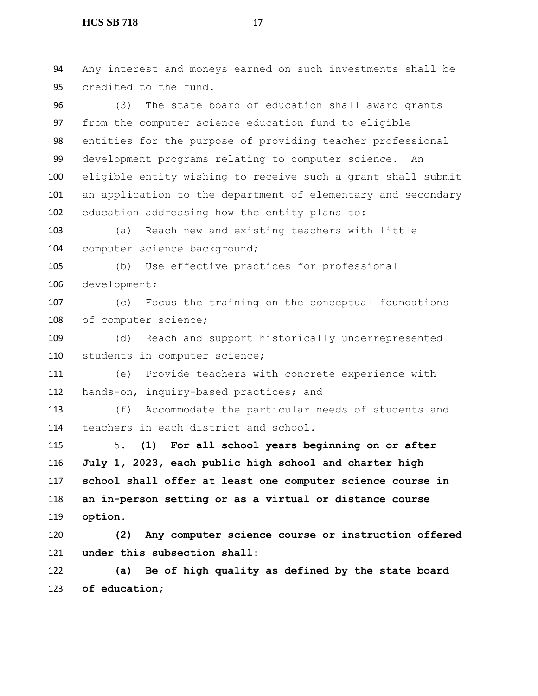Any interest and moneys earned on such investments shall be credited to the fund. (3) The state board of education shall award grants from the computer science education fund to eligible entities for the purpose of providing teacher professional development programs relating to computer science. An eligible entity wishing to receive such a grant shall submit an application to the department of elementary and secondary education addressing how the entity plans to: (a) Reach new and existing teachers with little computer science background; (b) Use effective practices for professional development; (c) Focus the training on the conceptual foundations 108 of computer science; (d) Reach and support historically underrepresented students in computer science; (e) Provide teachers with concrete experience with hands-on, inquiry-based practices; and (f) Accommodate the particular needs of students and teachers in each district and school. 5. **(1) For all school years beginning on or after July 1, 2023, each public high school and charter high school shall offer at least one computer science course in an in-person setting or as a virtual or distance course option. (2) Any computer science course or instruction offered under this subsection shall: (a) Be of high quality as defined by the state board of education;**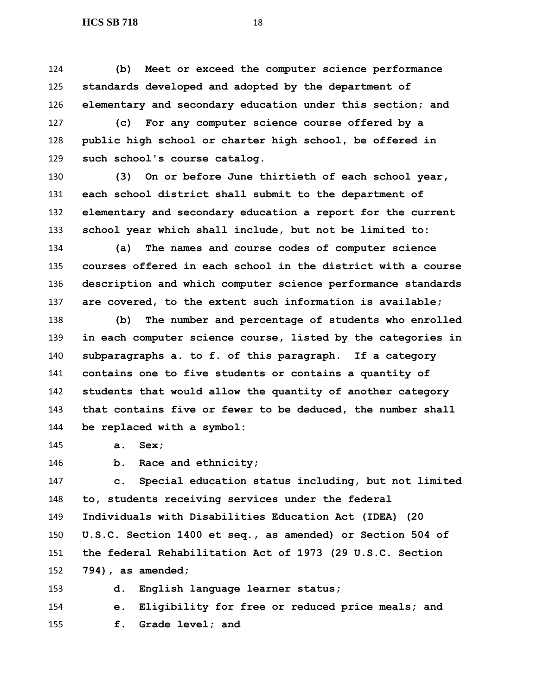**(b) Meet or exceed the computer science performance standards developed and adopted by the department of elementary and secondary education under this section; and**

 **(c) For any computer science course offered by a public high school or charter high school, be offered in such school's course catalog.**

 **(3) On or before June thirtieth of each school year, each school district shall submit to the department of elementary and secondary education a report for the current school year which shall include, but not be limited to:**

 **(a) The names and course codes of computer science courses offered in each school in the district with a course description and which computer science performance standards are covered, to the extent such information is available;**

 **(b) The number and percentage of students who enrolled in each computer science course, listed by the categories in subparagraphs a. to f. of this paragraph. If a category contains one to five students or contains a quantity of students that would allow the quantity of another category that contains five or fewer to be deduced, the number shall be replaced with a symbol:**

**a. Sex;**

**b. Race and ethnicity;**

**f. Grade level; and**

 **c. Special education status including, but not limited to, students receiving services under the federal Individuals with Disabilities Education Act (IDEA) (20 U.S.C. Section 1400 et seq., as amended) or Section 504 of the federal Rehabilitation Act of 1973 (29 U.S.C. Section 794), as amended;**

 **d. English language learner status; e. Eligibility for free or reduced price meals; and**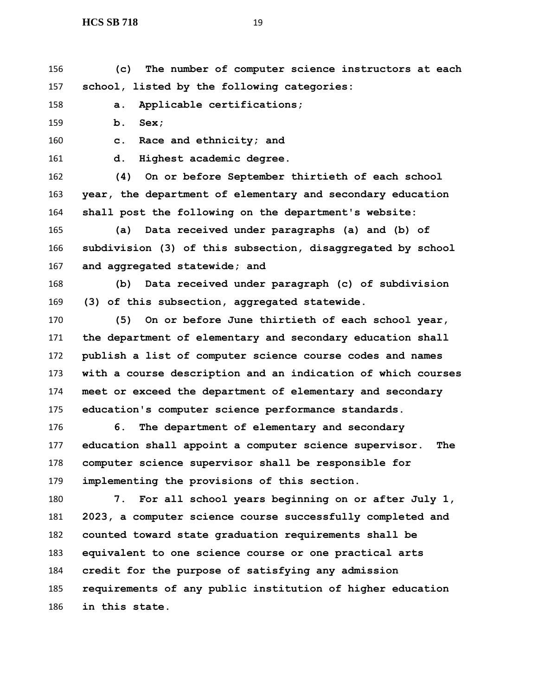**(c) The number of computer science instructors at each school, listed by the following categories:**

**a. Applicable certifications;**

**b. Sex;**

**c. Race and ethnicity; and**

**d. Highest academic degree.**

 **(4) On or before September thirtieth of each school year, the department of elementary and secondary education shall post the following on the department's website:**

 **(a) Data received under paragraphs (a) and (b) of subdivision (3) of this subsection, disaggregated by school and aggregated statewide; and**

 **(b) Data received under paragraph (c) of subdivision (3) of this subsection, aggregated statewide.**

 **(5) On or before June thirtieth of each school year, the department of elementary and secondary education shall publish a list of computer science course codes and names with a course description and an indication of which courses meet or exceed the department of elementary and secondary education's computer science performance standards.**

 **6. The department of elementary and secondary education shall appoint a computer science supervisor. The computer science supervisor shall be responsible for implementing the provisions of this section.**

 **7. For all school years beginning on or after July 1, 2023, a computer science course successfully completed and counted toward state graduation requirements shall be equivalent to one science course or one practical arts credit for the purpose of satisfying any admission requirements of any public institution of higher education in this state.**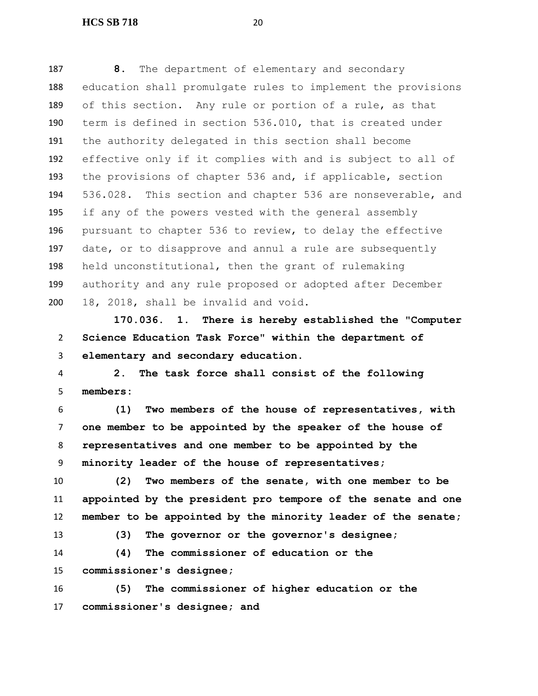**8.** The department of elementary and secondary education shall promulgate rules to implement the provisions of this section. Any rule or portion of a rule, as that term is defined in section 536.010, that is created under the authority delegated in this section shall become effective only if it complies with and is subject to all of the provisions of chapter 536 and, if applicable, section 536.028. This section and chapter 536 are nonseverable, and if any of the powers vested with the general assembly pursuant to chapter 536 to review, to delay the effective date, or to disapprove and annul a rule are subsequently held unconstitutional, then the grant of rulemaking authority and any rule proposed or adopted after December 18, 2018, shall be invalid and void.

 **170.036. 1. There is hereby established the "Computer Science Education Task Force" within the department of elementary and secondary education.**

 **2. The task force shall consist of the following members:**

 **(1) Two members of the house of representatives, with one member to be appointed by the speaker of the house of representatives and one member to be appointed by the minority leader of the house of representatives;**

 **(2) Two members of the senate, with one member to be appointed by the president pro tempore of the senate and one member to be appointed by the minority leader of the senate;**

**(3) The governor or the governor's designee;**

 **(4) The commissioner of education or the commissioner's designee;**

 **(5) The commissioner of higher education or the commissioner's designee; and**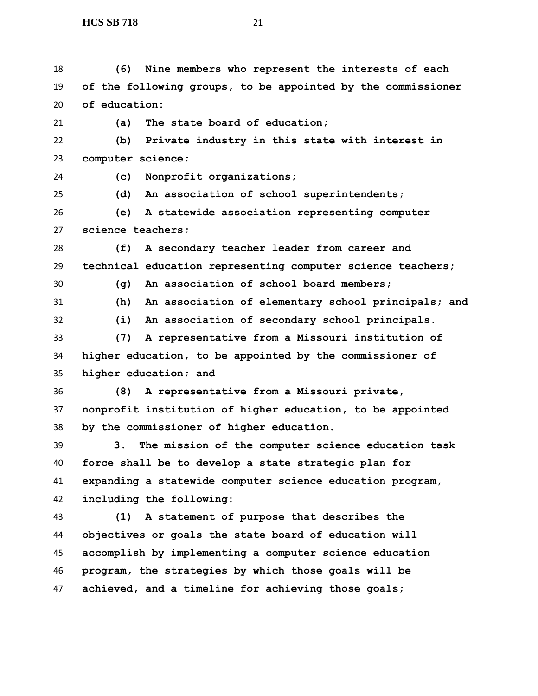| 18 | Nine members who represent the interests of each<br>(6)      |
|----|--------------------------------------------------------------|
| 19 | of the following groups, to be appointed by the commissioner |
| 20 | of education:                                                |
| 21 | The state board of education;<br>(a)                         |
| 22 | Private industry in this state with interest in<br>(b)       |
| 23 | computer science;                                            |
| 24 | Nonprofit organizations;<br>(c)                              |
| 25 | An association of school superintendents;<br>(d)             |
| 26 | A statewide association representing computer<br>(e)         |
| 27 | science teachers;                                            |
| 28 | (f)<br>A secondary teacher leader from career and            |
| 29 | technical education representing computer science teachers;  |
| 30 | An association of school board members;<br>(q)               |
| 31 | (h)<br>An association of elementary school principals; and   |
| 32 | (i)<br>An association of secondary school principals.        |
| 33 | (7)<br>A representative from a Missouri institution of       |
| 34 | higher education, to be appointed by the commissioner of     |
| 35 | higher education; and                                        |
| 36 | A representative from a Missouri private,<br>(8)             |
| 37 | nonprofit institution of higher education, to be appointed   |
| 38 | by the commissioner of higher education.                     |
| 39 | The mission of the computer science education task<br>3.     |
| 40 | force shall be to develop a state strategic plan for         |
| 41 | expanding a statewide computer science education program,    |
| 42 | including the following:                                     |
| 43 | (1) A statement of purpose that describes the                |
| 44 | objectives or goals the state board of education will        |
| 45 | accomplish by implementing a computer science education      |
| 46 | program, the strategies by which those goals will be         |

**achieved, and a timeline for achieving those goals;**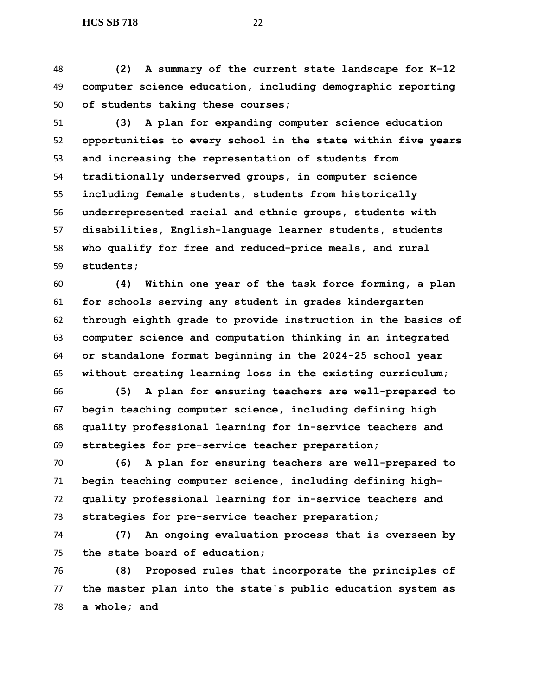**(2) A summary of the current state landscape for K-12 computer science education, including demographic reporting of students taking these courses;**

 **(3) A plan for expanding computer science education opportunities to every school in the state within five years and increasing the representation of students from traditionally underserved groups, in computer science including female students, students from historically underrepresented racial and ethnic groups, students with disabilities, English-language learner students, students who qualify for free and reduced-price meals, and rural students;**

 **(4) Within one year of the task force forming, a plan for schools serving any student in grades kindergarten through eighth grade to provide instruction in the basics of computer science and computation thinking in an integrated or standalone format beginning in the 2024-25 school year without creating learning loss in the existing curriculum;**

 **(5) A plan for ensuring teachers are well-prepared to begin teaching computer science, including defining high quality professional learning for in-service teachers and strategies for pre-service teacher preparation;**

 **(6) A plan for ensuring teachers are well-prepared to begin teaching computer science, including defining high- quality professional learning for in-service teachers and strategies for pre-service teacher preparation;**

 **(7) An ongoing evaluation process that is overseen by the state board of education;** 

 **(8) Proposed rules that incorporate the principles of the master plan into the state's public education system as a whole; and**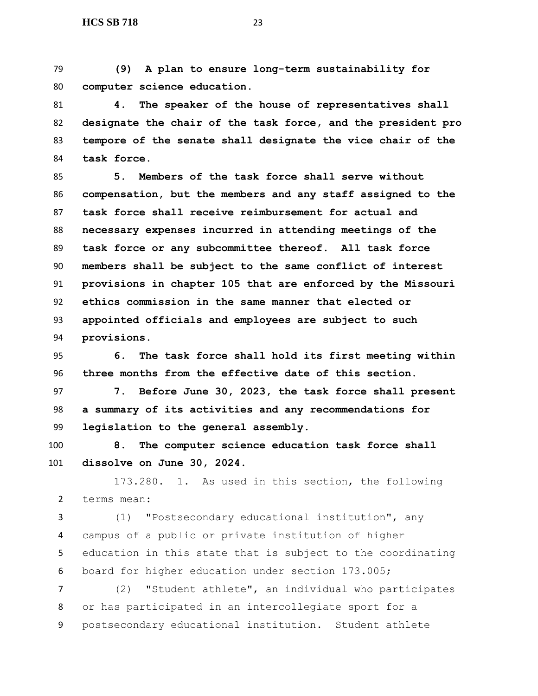**(9) A plan to ensure long-term sustainability for computer science education.**

 **4. The speaker of the house of representatives shall designate the chair of the task force, and the president pro tempore of the senate shall designate the vice chair of the task force.**

 **5. Members of the task force shall serve without compensation, but the members and any staff assigned to the task force shall receive reimbursement for actual and necessary expenses incurred in attending meetings of the task force or any subcommittee thereof. All task force members shall be subject to the same conflict of interest provisions in chapter 105 that are enforced by the Missouri ethics commission in the same manner that elected or appointed officials and employees are subject to such provisions.**

 **6. The task force shall hold its first meeting within three months from the effective date of this section.**

 **7. Before June 30, 2023, the task force shall present a summary of its activities and any recommendations for legislation to the general assembly.**

 **8. The computer science education task force shall dissolve on June 30, 2024.**

173.280. 1. As used in this section, the following terms mean:

 (1) "Postsecondary educational institution", any campus of a public or private institution of higher education in this state that is subject to the coordinating board for higher education under section 173.005;

 (2) "Student athlete", an individual who participates or has participated in an intercollegiate sport for a postsecondary educational institution. Student athlete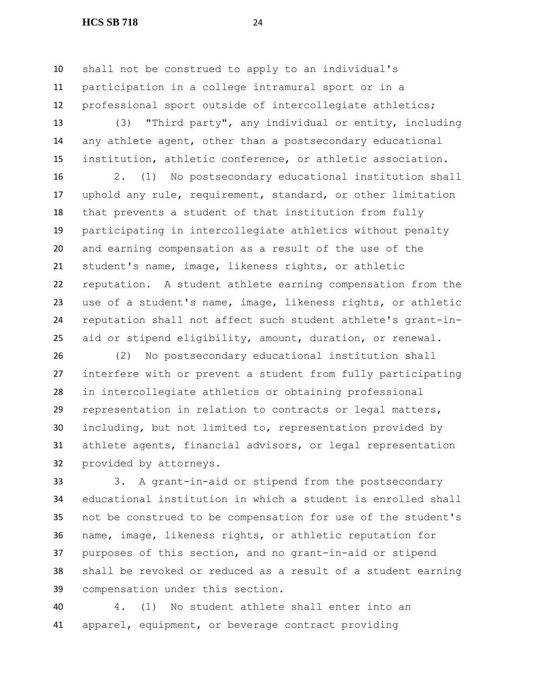#### **HCS SB 718** 24

 shall not be construed to apply to an individual's participation in a college intramural sport or in a professional sport outside of intercollegiate athletics;

 (3) "Third party", any individual or entity, including any athlete agent, other than a postsecondary educational institution, athletic conference, or athletic association.

 2. (1) No postsecondary educational institution shall uphold any rule, requirement, standard, or other limitation that prevents a student of that institution from fully participating in intercollegiate athletics without penalty and earning compensation as a result of the use of the student's name, image, likeness rights, or athletic reputation. A student athlete earning compensation from the use of a student's name, image, likeness rights, or athletic reputation shall not affect such student athlete's grant-in-aid or stipend eligibility, amount, duration, or renewal.

 (2) No postsecondary educational institution shall interfere with or prevent a student from fully participating in intercollegiate athletics or obtaining professional representation in relation to contracts or legal matters, including, but not limited to, representation provided by athlete agents, financial advisors, or legal representation provided by attorneys.

 3. A grant-in-aid or stipend from the postsecondary educational institution in which a student is enrolled shall not be construed to be compensation for use of the student's name, image, likeness rights, or athletic reputation for purposes of this section, and no grant-in-aid or stipend shall be revoked or reduced as a result of a student earning compensation under this section.

 4. (1) No student athlete shall enter into an apparel, equipment, or beverage contract providing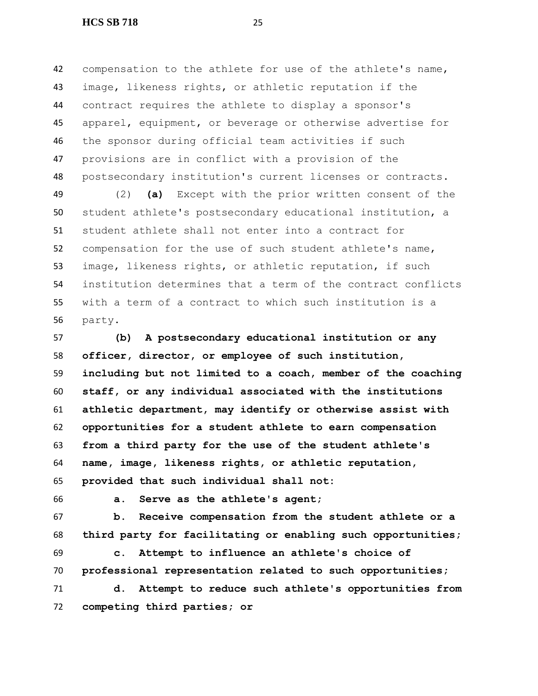compensation to the athlete for use of the athlete's name, image, likeness rights, or athletic reputation if the contract requires the athlete to display a sponsor's apparel, equipment, or beverage or otherwise advertise for the sponsor during official team activities if such provisions are in conflict with a provision of the postsecondary institution's current licenses or contracts.

 (2) **(a)** Except with the prior written consent of the student athlete's postsecondary educational institution, a student athlete shall not enter into a contract for compensation for the use of such student athlete's name, image, likeness rights, or athletic reputation, if such institution determines that a term of the contract conflicts with a term of a contract to which such institution is a party.

 **(b) A postsecondary educational institution or any officer, director, or employee of such institution, including but not limited to a coach, member of the coaching staff, or any individual associated with the institutions athletic department, may identify or otherwise assist with opportunities for a student athlete to earn compensation from a third party for the use of the student athlete's name, image, likeness rights, or athletic reputation, provided that such individual shall not:**

**a. Serve as the athlete's agent;**

 **b. Receive compensation from the student athlete or a third party for facilitating or enabling such opportunities;**

 **c. Attempt to influence an athlete's choice of professional representation related to such opportunities;**

 **d. Attempt to reduce such athlete's opportunities from competing third parties; or**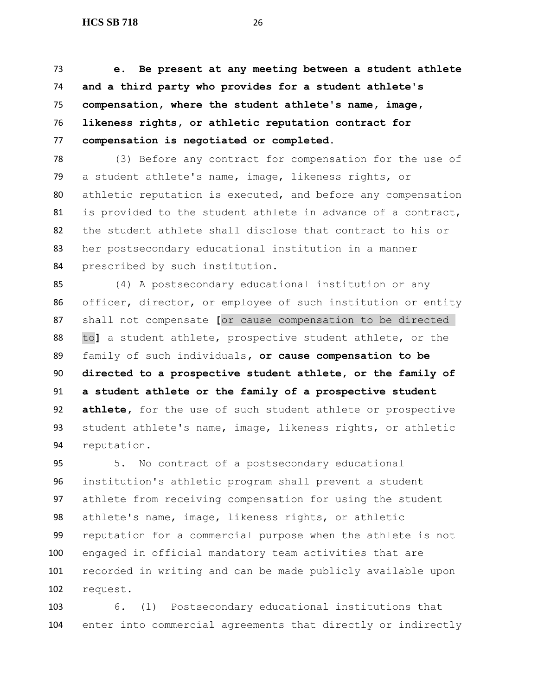**e. Be present at any meeting between a student athlete and a third party who provides for a student athlete's compensation, where the student athlete's name, image, likeness rights, or athletic reputation contract for compensation is negotiated or completed.**

 (3) Before any contract for compensation for the use of a student athlete's name, image, likeness rights, or athletic reputation is executed, and before any compensation is provided to the student athlete in advance of a contract, the student athlete shall disclose that contract to his or her postsecondary educational institution in a manner prescribed by such institution.

 (4) A postsecondary educational institution or any officer, director, or employee of such institution or entity shall not compensate **[**or cause compensation to be directed to**]** a student athlete, prospective student athlete, or the family of such individuals**, or cause compensation to be directed to a prospective student athlete, or the family of a student athlete or the family of a prospective student athlete,** for the use of such student athlete or prospective student athlete's name, image, likeness rights, or athletic reputation.

 5. No contract of a postsecondary educational institution's athletic program shall prevent a student athlete from receiving compensation for using the student athlete's name, image, likeness rights, or athletic reputation for a commercial purpose when the athlete is not engaged in official mandatory team activities that are recorded in writing and can be made publicly available upon request.

 6. (1) Postsecondary educational institutions that enter into commercial agreements that directly or indirectly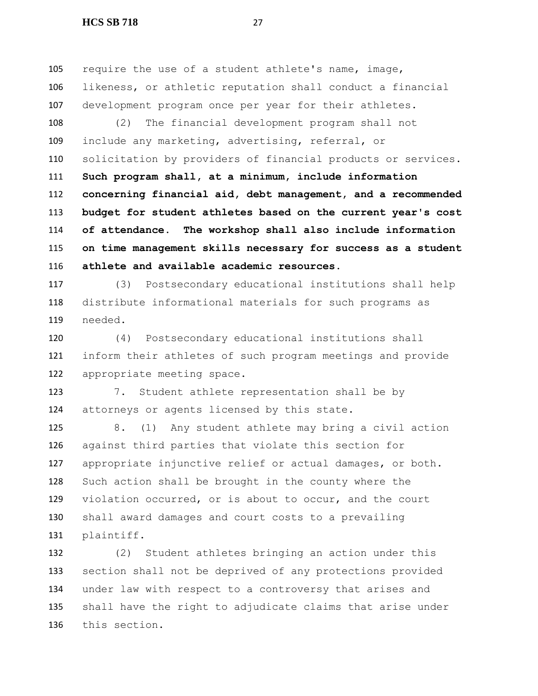#### **HCS SB 718** 27

 require the use of a student athlete's name, image, likeness, or athletic reputation shall conduct a financial development program once per year for their athletes.

 (2) The financial development program shall not include any marketing, advertising, referral, or solicitation by providers of financial products or services. **Such program shall, at a minimum, include information concerning financial aid, debt management, and a recommended budget for student athletes based on the current year's cost of attendance. The workshop shall also include information on time management skills necessary for success as a student athlete and available academic resources.** 

 (3) Postsecondary educational institutions shall help distribute informational materials for such programs as needed.

 (4) Postsecondary educational institutions shall inform their athletes of such program meetings and provide appropriate meeting space.

 7. Student athlete representation shall be by attorneys or agents licensed by this state.

 8. (1) Any student athlete may bring a civil action against third parties that violate this section for appropriate injunctive relief or actual damages, or both. Such action shall be brought in the county where the violation occurred, or is about to occur, and the court shall award damages and court costs to a prevailing plaintiff.

 (2) Student athletes bringing an action under this section shall not be deprived of any protections provided under law with respect to a controversy that arises and shall have the right to adjudicate claims that arise under this section.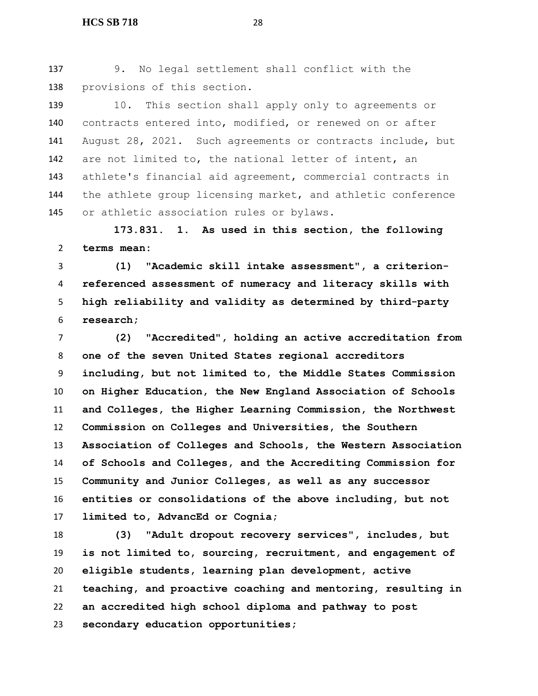9. No legal settlement shall conflict with the provisions of this section.

139 10. This section shall apply only to agreements or contracts entered into, modified, or renewed on or after August 28, 2021. Such agreements or contracts include, but are not limited to, the national letter of intent, an athlete's financial aid agreement, commercial contracts in the athlete group licensing market, and athletic conference or athletic association rules or bylaws.

 **173.831. 1. As used in this section, the following terms mean:**

 **(1) "Academic skill intake assessment", a criterion- referenced assessment of numeracy and literacy skills with high reliability and validity as determined by third-party research;**

 **(2) "Accredited", holding an active accreditation from one of the seven United States regional accreditors including, but not limited to, the Middle States Commission on Higher Education, the New England Association of Schools and Colleges, the Higher Learning Commission, the Northwest Commission on Colleges and Universities, the Southern Association of Colleges and Schools, the Western Association of Schools and Colleges, and the Accrediting Commission for Community and Junior Colleges, as well as any successor entities or consolidations of the above including, but not limited to, AdvancEd or Cognia;**

 **(3) "Adult dropout recovery services", includes, but is not limited to, sourcing, recruitment, and engagement of eligible students, learning plan development, active teaching, and proactive coaching and mentoring, resulting in an accredited high school diploma and pathway to post secondary education opportunities;**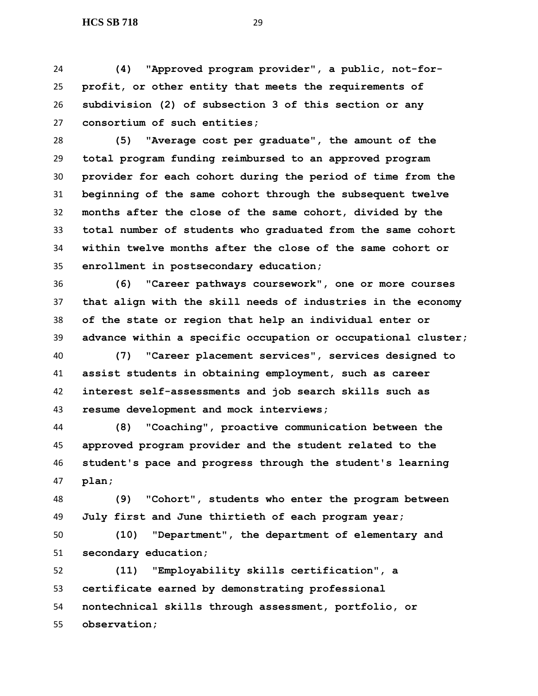**(4) "Approved program provider", a public, not-for- profit, or other entity that meets the requirements of subdivision (2) of subsection 3 of this section or any consortium of such entities;**

 **(5) "Average cost per graduate", the amount of the total program funding reimbursed to an approved program provider for each cohort during the period of time from the beginning of the same cohort through the subsequent twelve months after the close of the same cohort, divided by the total number of students who graduated from the same cohort within twelve months after the close of the same cohort or enrollment in postsecondary education;**

 **(6) "Career pathways coursework", one or more courses that align with the skill needs of industries in the economy of the state or region that help an individual enter or advance within a specific occupation or occupational cluster;**

 **(7) "Career placement services", services designed to assist students in obtaining employment, such as career interest self-assessments and job search skills such as resume development and mock interviews;**

 **(8) "Coaching", proactive communication between the approved program provider and the student related to the student's pace and progress through the student's learning plan;**

 **(9) "Cohort", students who enter the program between July first and June thirtieth of each program year;**

 **(10) "Department", the department of elementary and secondary education;**

 **(11) "Employability skills certification", a certificate earned by demonstrating professional nontechnical skills through assessment, portfolio, or observation;**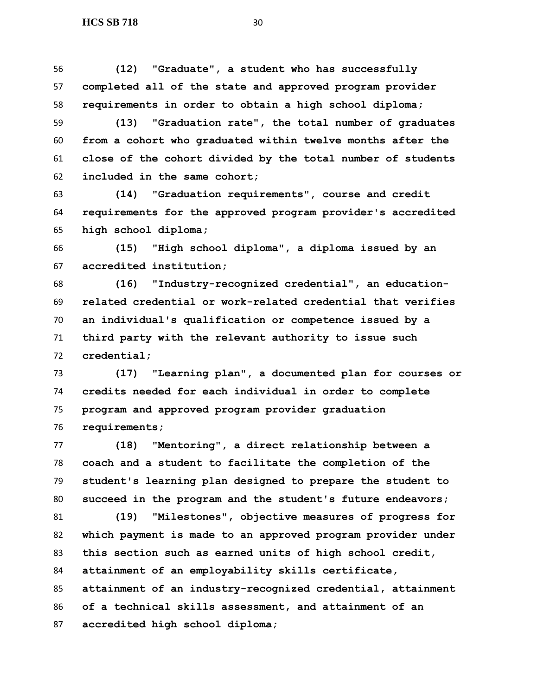**(12) "Graduate", a student who has successfully completed all of the state and approved program provider requirements in order to obtain a high school diploma;**

 **(13) "Graduation rate", the total number of graduates from a cohort who graduated within twelve months after the close of the cohort divided by the total number of students included in the same cohort;**

 **(14) "Graduation requirements", course and credit requirements for the approved program provider's accredited high school diploma;**

 **(15) "High school diploma", a diploma issued by an accredited institution;**

 **(16) "Industry-recognized credential", an education- related credential or work-related credential that verifies an individual's qualification or competence issued by a third party with the relevant authority to issue such credential;**

 **(17) "Learning plan", a documented plan for courses or credits needed for each individual in order to complete program and approved program provider graduation requirements;**

 **(18) "Mentoring", a direct relationship between a coach and a student to facilitate the completion of the student's learning plan designed to prepare the student to succeed in the program and the student's future endeavors;**

 **(19) "Milestones", objective measures of progress for which payment is made to an approved program provider under this section such as earned units of high school credit, attainment of an employability skills certificate, attainment of an industry-recognized credential, attainment of a technical skills assessment, and attainment of an accredited high school diploma;**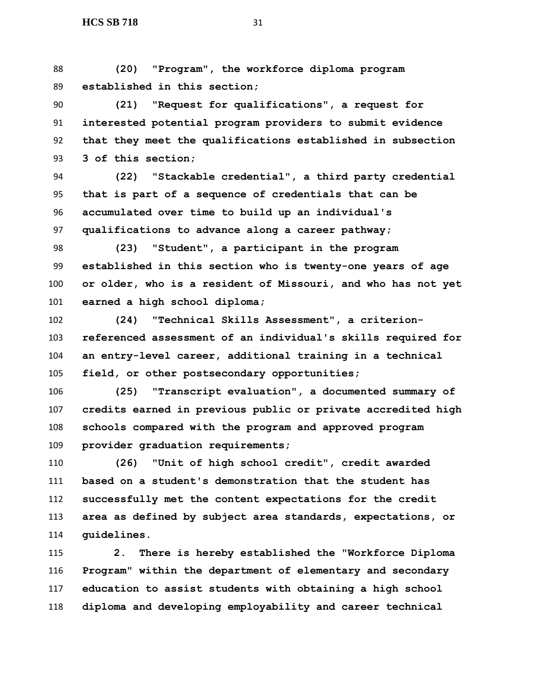**(20) "Program", the workforce diploma program established in this section;**

 **(21) "Request for qualifications", a request for interested potential program providers to submit evidence that they meet the qualifications established in subsection 3 of this section;**

 **(22) "Stackable credential", a third party credential that is part of a sequence of credentials that can be accumulated over time to build up an individual's qualifications to advance along a career pathway;**

 **(23) "Student", a participant in the program established in this section who is twenty-one years of age or older, who is a resident of Missouri, and who has not yet earned a high school diploma;**

 **(24) "Technical Skills Assessment", a criterion- referenced assessment of an individual's skills required for an entry-level career, additional training in a technical field, or other postsecondary opportunities;**

 **(25) "Transcript evaluation", a documented summary of credits earned in previous public or private accredited high schools compared with the program and approved program provider graduation requirements;**

 **(26) "Unit of high school credit", credit awarded based on a student's demonstration that the student has successfully met the content expectations for the credit area as defined by subject area standards, expectations, or guidelines.**

 **2. There is hereby established the "Workforce Diploma Program" within the department of elementary and secondary education to assist students with obtaining a high school diploma and developing employability and career technical**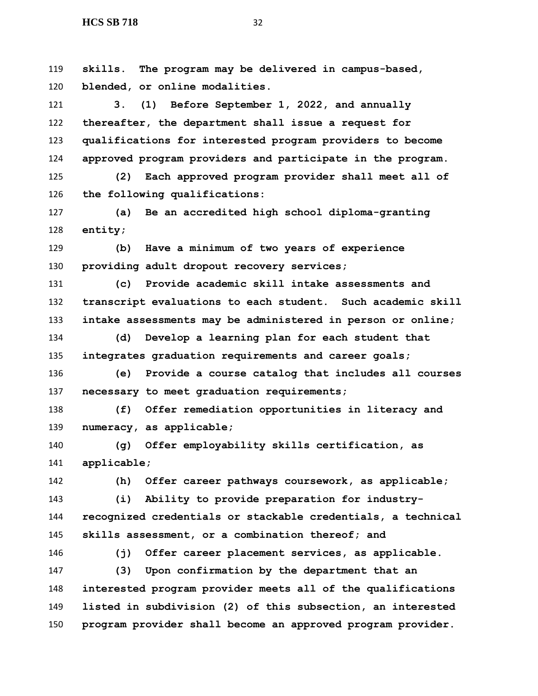**skills. The program may be delivered in campus-based, blended, or online modalities.**

 **3. (1) Before September 1, 2022, and annually thereafter, the department shall issue a request for qualifications for interested program providers to become approved program providers and participate in the program.**

 **(2) Each approved program provider shall meet all of the following qualifications:**

 **(a) Be an accredited high school diploma-granting entity;**

 **(b) Have a minimum of two years of experience providing adult dropout recovery services;**

 **(c) Provide academic skill intake assessments and transcript evaluations to each student. Such academic skill intake assessments may be administered in person or online;**

 **(d) Develop a learning plan for each student that integrates graduation requirements and career goals;**

 **(e) Provide a course catalog that includes all courses necessary to meet graduation requirements;**

 **(f) Offer remediation opportunities in literacy and numeracy, as applicable;**

 **(g) Offer employability skills certification, as applicable;**

**(h) Offer career pathways coursework, as applicable;**

 **(i) Ability to provide preparation for industry- recognized credentials or stackable credentials, a technical skills assessment, or a combination thereof; and**

**(j) Offer career placement services, as applicable.**

 **(3) Upon confirmation by the department that an interested program provider meets all of the qualifications listed in subdivision (2) of this subsection, an interested program provider shall become an approved program provider.**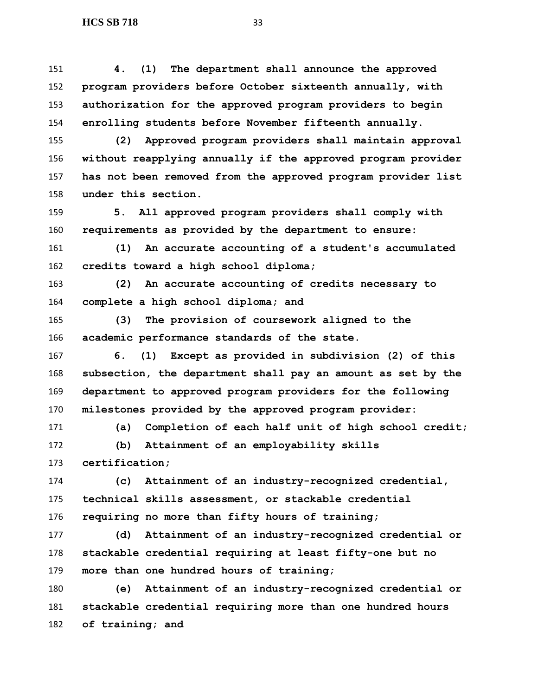**4. (1) The department shall announce the approved program providers before October sixteenth annually, with authorization for the approved program providers to begin enrolling students before November fifteenth annually.**

 **(2) Approved program providers shall maintain approval without reapplying annually if the approved program provider has not been removed from the approved program provider list under this section.**

 **5. All approved program providers shall comply with requirements as provided by the department to ensure:**

 **(1) An accurate accounting of a student's accumulated credits toward a high school diploma;**

 **(2) An accurate accounting of credits necessary to complete a high school diploma; and**

 **(3) The provision of coursework aligned to the academic performance standards of the state.**

 **6. (1) Except as provided in subdivision (2) of this subsection, the department shall pay an amount as set by the department to approved program providers for the following milestones provided by the approved program provider:**

 **(a) Completion of each half unit of high school credit; (b) Attainment of an employability skills** 

**certification;**

 **(c) Attainment of an industry-recognized credential, technical skills assessment, or stackable credential requiring no more than fifty hours of training;**

 **(d) Attainment of an industry-recognized credential or stackable credential requiring at least fifty-one but no more than one hundred hours of training;**

 **(e) Attainment of an industry-recognized credential or stackable credential requiring more than one hundred hours of training; and**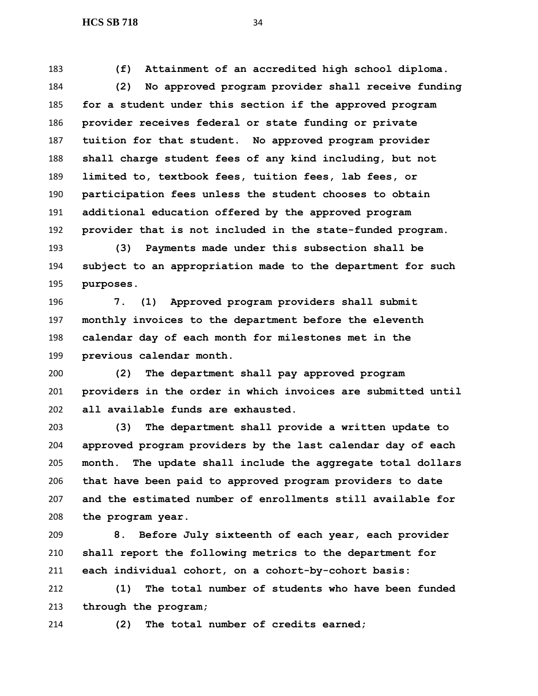**(f) Attainment of an accredited high school diploma.**

 **(2) No approved program provider shall receive funding for a student under this section if the approved program provider receives federal or state funding or private tuition for that student. No approved program provider shall charge student fees of any kind including, but not limited to, textbook fees, tuition fees, lab fees, or participation fees unless the student chooses to obtain additional education offered by the approved program provider that is not included in the state-funded program.**

 **(3) Payments made under this subsection shall be subject to an appropriation made to the department for such purposes.**

 **7. (1) Approved program providers shall submit monthly invoices to the department before the eleventh calendar day of each month for milestones met in the previous calendar month.**

 **(2) The department shall pay approved program providers in the order in which invoices are submitted until all available funds are exhausted.**

 **(3) The department shall provide a written update to approved program providers by the last calendar day of each month. The update shall include the aggregate total dollars that have been paid to approved program providers to date and the estimated number of enrollments still available for the program year.**

 **8. Before July sixteenth of each year, each provider shall report the following metrics to the department for each individual cohort, on a cohort-by-cohort basis:**

 **(1) The total number of students who have been funded through the program;**

**(2) The total number of credits earned;**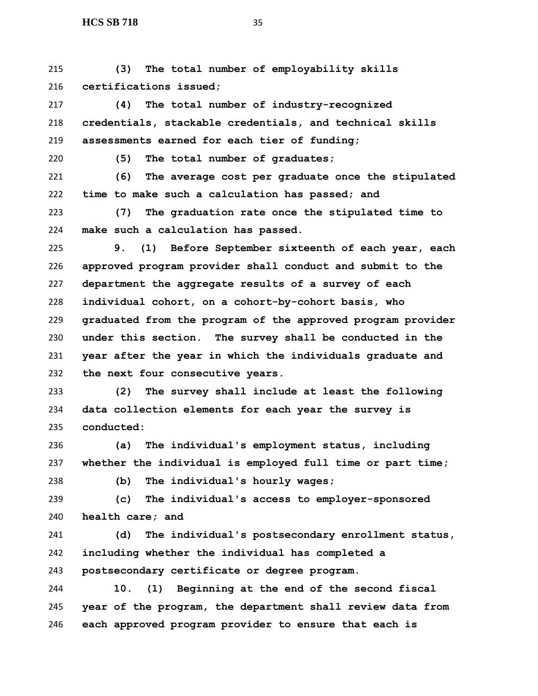**(3) The total number of employability skills certifications issued;**

 **(4) The total number of industry-recognized credentials, stackable credentials, and technical skills assessments earned for each tier of funding;**

**(5) The total number of graduates;**

 **(6) The average cost per graduate once the stipulated time to make such a calculation has passed; and**

 **(7) The graduation rate once the stipulated time to make such a calculation has passed.**

 **9. (1) Before September sixteenth of each year, each approved program provider shall conduct and submit to the department the aggregate results of a survey of each individual cohort, on a cohort-by-cohort basis, who graduated from the program of the approved program provider under this section. The survey shall be conducted in the year after the year in which the individuals graduate and the next four consecutive years.**

 **(2) The survey shall include at least the following data collection elements for each year the survey is conducted:**

 **(a) The individual's employment status, including whether the individual is employed full time or part time;**

**(b) The individual's hourly wages;**

 **(c) The individual's access to employer-sponsored health care; and**

 **(d) The individual's postsecondary enrollment status, including whether the individual has completed a postsecondary certificate or degree program.**

 **10. (1) Beginning at the end of the second fiscal year of the program, the department shall review data from each approved program provider to ensure that each is**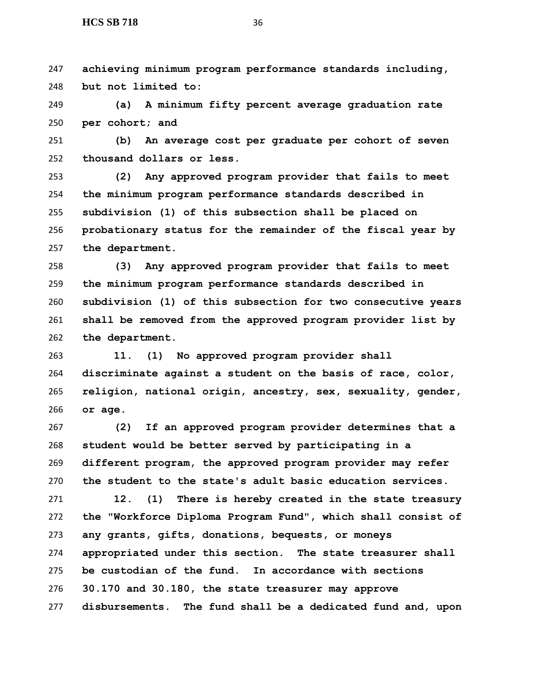**achieving minimum program performance standards including, but not limited to:**

 **(a) A minimum fifty percent average graduation rate per cohort; and**

 **(b) An average cost per graduate per cohort of seven thousand dollars or less.**

 **(2) Any approved program provider that fails to meet the minimum program performance standards described in subdivision (1) of this subsection shall be placed on probationary status for the remainder of the fiscal year by the department.**

 **(3) Any approved program provider that fails to meet the minimum program performance standards described in subdivision (1) of this subsection for two consecutive years shall be removed from the approved program provider list by the department.**

 **11. (1) No approved program provider shall discriminate against a student on the basis of race, color, religion, national origin, ancestry, sex, sexuality, gender, or age.**

 **(2) If an approved program provider determines that a student would be better served by participating in a different program, the approved program provider may refer the student to the state's adult basic education services.**

 **12. (1) There is hereby created in the state treasury the "Workforce Diploma Program Fund", which shall consist of any grants, gifts, donations, bequests, or moneys appropriated under this section. The state treasurer shall be custodian of the fund. In accordance with sections 30.170 and 30.180, the state treasurer may approve disbursements. The fund shall be a dedicated fund and, upon**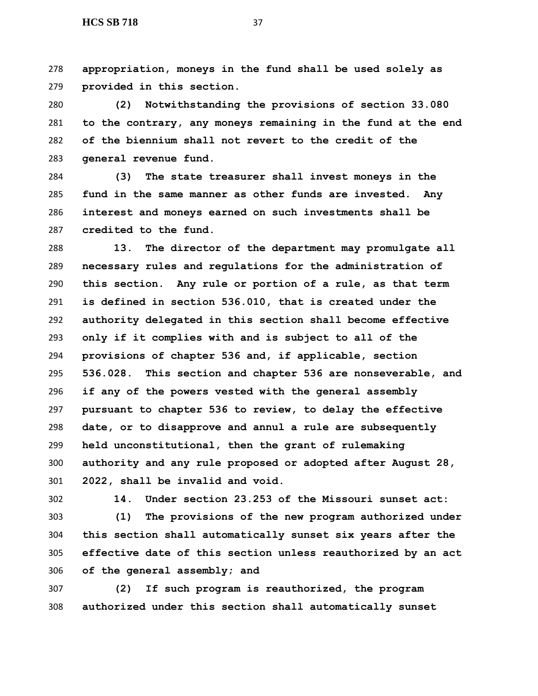**appropriation, moneys in the fund shall be used solely as provided in this section.**

 **(2) Notwithstanding the provisions of section 33.080 to the contrary, any moneys remaining in the fund at the end of the biennium shall not revert to the credit of the general revenue fund.**

 **(3) The state treasurer shall invest moneys in the fund in the same manner as other funds are invested. Any interest and moneys earned on such investments shall be credited to the fund.**

 **13. The director of the department may promulgate all necessary rules and regulations for the administration of this section. Any rule or portion of a rule, as that term is defined in section 536.010, that is created under the authority delegated in this section shall become effective only if it complies with and is subject to all of the provisions of chapter 536 and, if applicable, section 536.028. This section and chapter 536 are nonseverable, and if any of the powers vested with the general assembly pursuant to chapter 536 to review, to delay the effective date, or to disapprove and annul a rule are subsequently held unconstitutional, then the grant of rulemaking authority and any rule proposed or adopted after August 28, 2022, shall be invalid and void.**

**14. Under section 23.253 of the Missouri sunset act:**

 **(1) The provisions of the new program authorized under this section shall automatically sunset six years after the effective date of this section unless reauthorized by an act of the general assembly; and**

 **(2) If such program is reauthorized, the program authorized under this section shall automatically sunset**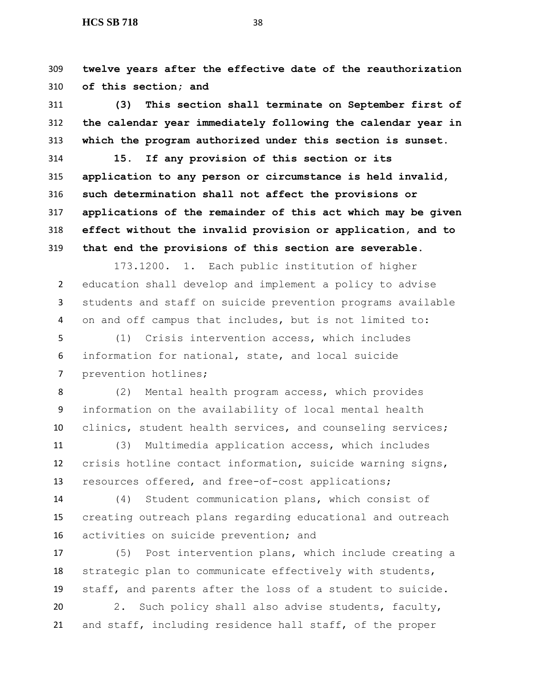**twelve years after the effective date of the reauthorization of this section; and**

 **(3) This section shall terminate on September first of the calendar year immediately following the calendar year in which the program authorized under this section is sunset.**

 **15. If any provision of this section or its application to any person or circumstance is held invalid, such determination shall not affect the provisions or applications of the remainder of this act which may be given effect without the invalid provision or application, and to that end the provisions of this section are severable.**

173.1200. 1. Each public institution of higher education shall develop and implement a policy to advise students and staff on suicide prevention programs available on and off campus that includes, but is not limited to:

 (1) Crisis intervention access, which includes information for national, state, and local suicide prevention hotlines;

 (2) Mental health program access, which provides information on the availability of local mental health clinics, student health services, and counseling services;

 (3) Multimedia application access, which includes crisis hotline contact information, suicide warning signs, resources offered, and free-of-cost applications;

 (4) Student communication plans, which consist of creating outreach plans regarding educational and outreach activities on suicide prevention; and

 (5) Post intervention plans, which include creating a strategic plan to communicate effectively with students, staff, and parents after the loss of a student to suicide.

 2. Such policy shall also advise students, faculty, and staff, including residence hall staff, of the proper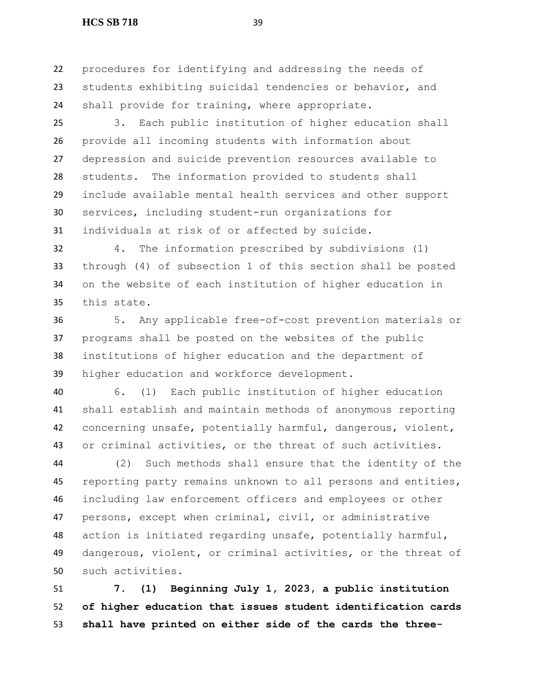#### **HCS SB 718** 39

 procedures for identifying and addressing the needs of students exhibiting suicidal tendencies or behavior, and shall provide for training, where appropriate.

 3. Each public institution of higher education shall provide all incoming students with information about depression and suicide prevention resources available to students. The information provided to students shall include available mental health services and other support services, including student-run organizations for individuals at risk of or affected by suicide.

 4. The information prescribed by subdivisions (1) through (4) of subsection 1 of this section shall be posted on the website of each institution of higher education in this state.

 5. Any applicable free-of-cost prevention materials or programs shall be posted on the websites of the public institutions of higher education and the department of higher education and workforce development.

 6. (1) Each public institution of higher education shall establish and maintain methods of anonymous reporting concerning unsafe, potentially harmful, dangerous, violent, or criminal activities, or the threat of such activities.

 (2) Such methods shall ensure that the identity of the reporting party remains unknown to all persons and entities, including law enforcement officers and employees or other persons, except when criminal, civil, or administrative action is initiated regarding unsafe, potentially harmful, dangerous, violent, or criminal activities, or the threat of such activities.

 **7. (1) Beginning July 1, 2023, a public institution of higher education that issues student identification cards shall have printed on either side of the cards the three-**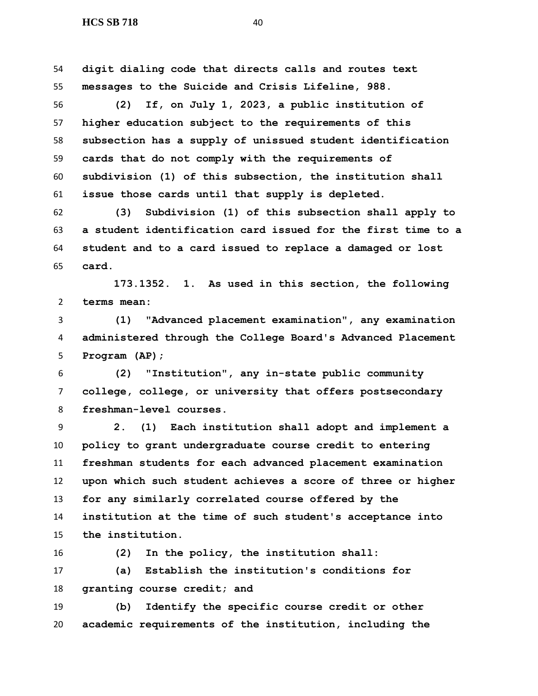**digit dialing code that directs calls and routes text messages to the Suicide and Crisis Lifeline, 988.**

 **(2) If, on July 1, 2023, a public institution of higher education subject to the requirements of this subsection has a supply of unissued student identification cards that do not comply with the requirements of subdivision (1) of this subsection, the institution shall issue those cards until that supply is depleted.**

 **(3) Subdivision (1) of this subsection shall apply to a student identification card issued for the first time to a student and to a card issued to replace a damaged or lost card.**

 **173.1352. 1. As used in this section, the following terms mean:**

 **(1) "Advanced placement examination", any examination administered through the College Board's Advanced Placement Program (AP);**

 **(2) "Institution", any in-state public community college, college, or university that offers postsecondary freshman-level courses.**

 **2. (1) Each institution shall adopt and implement a policy to grant undergraduate course credit to entering freshman students for each advanced placement examination upon which such student achieves a score of three or higher for any similarly correlated course offered by the institution at the time of such student's acceptance into the institution.**

**(2) In the policy, the institution shall:**

 **(a) Establish the institution's conditions for granting course credit; and**

 **(b) Identify the specific course credit or other academic requirements of the institution, including the**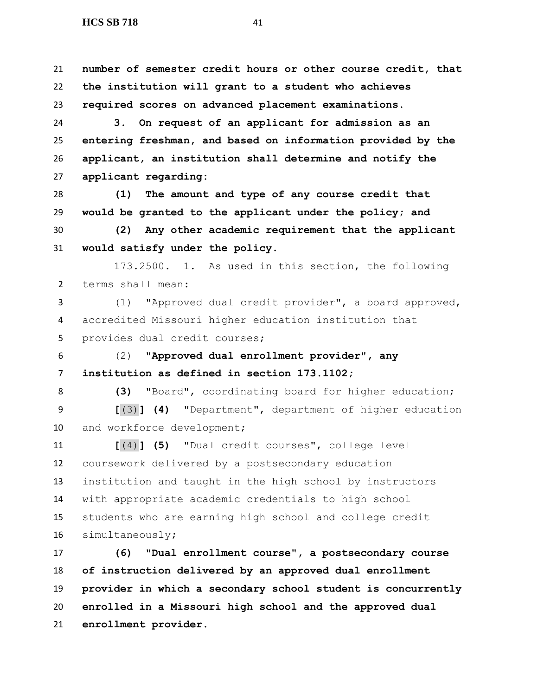**number of semester credit hours or other course credit, that the institution will grant to a student who achieves required scores on advanced placement examinations. 3. On request of an applicant for admission as an entering freshman, and based on information provided by the applicant, an institution shall determine and notify the applicant regarding: (1) The amount and type of any course credit that would be granted to the applicant under the policy; and (2) Any other academic requirement that the applicant would satisfy under the policy.** 173.2500. 1. As used in this section, the following terms shall mean: (1) "Approved dual credit provider", a board approved, accredited Missouri higher education institution that provides dual credit courses; (2) **"Approved dual enrollment provider", any institution as defined in section 173.1102; (3)** "Board", coordinating board for higher education; **[**(3)**] (4)** "Department", department of higher education 10 and workforce development; **[**(4)**] (5)** "Dual credit courses", college level coursework delivered by a postsecondary education institution and taught in the high school by instructors with appropriate academic credentials to high school students who are earning high school and college credit simultaneously**; (6) "Dual enrollment course", a postsecondary course of instruction delivered by an approved dual enrollment** 

 **provider in which a secondary school student is concurrently enrolled in a Missouri high school and the approved dual enrollment provider**.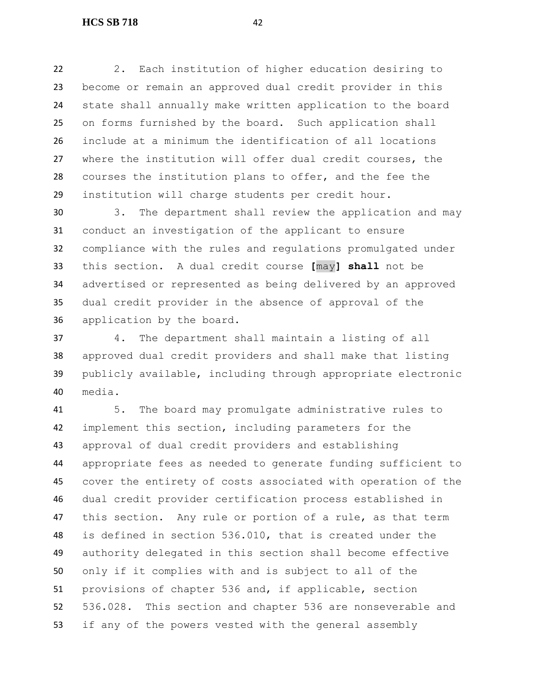2. Each institution of higher education desiring to become or remain an approved dual credit provider in this state shall annually make written application to the board on forms furnished by the board. Such application shall include at a minimum the identification of all locations where the institution will offer dual credit courses, the courses the institution plans to offer, and the fee the institution will charge students per credit hour.

 3. The department shall review the application and may conduct an investigation of the applicant to ensure compliance with the rules and regulations promulgated under this section. A dual credit course **[**may**] shall** not be advertised or represented as being delivered by an approved dual credit provider in the absence of approval of the application by the board.

 4. The department shall maintain a listing of all approved dual credit providers and shall make that listing publicly available, including through appropriate electronic media.

 5. The board may promulgate administrative rules to implement this section, including parameters for the approval of dual credit providers and establishing appropriate fees as needed to generate funding sufficient to cover the entirety of costs associated with operation of the dual credit provider certification process established in this section. Any rule or portion of a rule, as that term is defined in section 536.010, that is created under the authority delegated in this section shall become effective only if it complies with and is subject to all of the provisions of chapter 536 and, if applicable, section 536.028. This section and chapter 536 are nonseverable and if any of the powers vested with the general assembly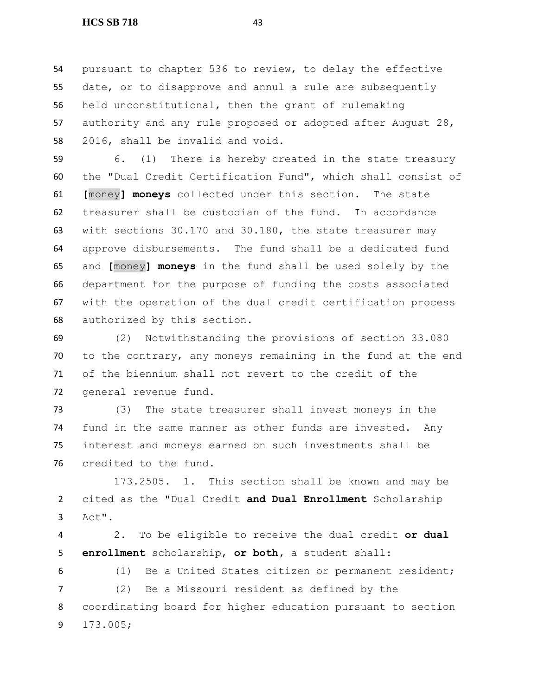pursuant to chapter 536 to review, to delay the effective date, or to disapprove and annul a rule are subsequently held unconstitutional, then the grant of rulemaking authority and any rule proposed or adopted after August 28, 2016, shall be invalid and void.

 6. (1) There is hereby created in the state treasury the "Dual Credit Certification Fund", which shall consist of **[**money**] moneys** collected under this section. The state treasurer shall be custodian of the fund. In accordance with sections 30.170 and 30.180, the state treasurer may approve disbursements. The fund shall be a dedicated fund and **[**money**] moneys** in the fund shall be used solely by the department for the purpose of funding the costs associated with the operation of the dual credit certification process authorized by this section.

 (2) Notwithstanding the provisions of section 33.080 to the contrary, any moneys remaining in the fund at the end of the biennium shall not revert to the credit of the general revenue fund.

 (3) The state treasurer shall invest moneys in the fund in the same manner as other funds are invested. Any interest and moneys earned on such investments shall be credited to the fund.

173.2505. 1. This section shall be known and may be cited as the "Dual Credit **and Dual Enrollment** Scholarship Act".

 2. To be eligible to receive the dual credit **or dual enrollment** scholarship, **or both,** a student shall:

 (1) Be a United States citizen or permanent resident; (2) Be a Missouri resident as defined by the coordinating board for higher education pursuant to section 173.005;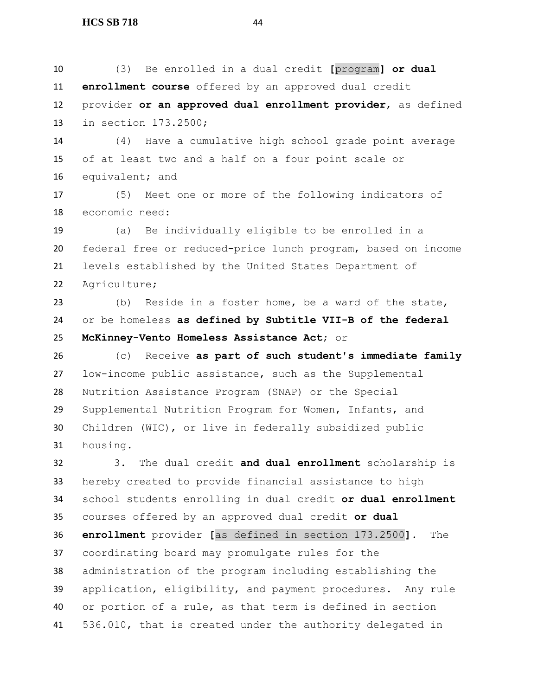(3) Be enrolled in a dual credit **[**program**] or dual enrollment course** offered by an approved dual credit provider **or an approved dual enrollment provider**, as defined in section 173.2500;

 (4) Have a cumulative high school grade point average of at least two and a half on a four point scale or equivalent; and

 (5) Meet one or more of the following indicators of economic need:

 (a) Be individually eligible to be enrolled in a federal free or reduced-price lunch program, based on income levels established by the United States Department of Agriculture;

 (b) Reside in a foster home, be a ward of the state, or be homeless **as defined by Subtitle VII-B of the federal McKinney-Vento Homeless Assistance Act**; or

 (c) Receive **as part of such student's immediate family** low-income public assistance, such as the Supplemental Nutrition Assistance Program (SNAP) or the Special Supplemental Nutrition Program for Women, Infants, and Children (WIC), or live in federally subsidized public housing.

 3. The dual credit **and dual enrollment** scholarship is hereby created to provide financial assistance to high school students enrolling in dual credit **or dual enrollment** courses offered by an approved dual credit **or dual enrollment** provider **[**as defined in section 173.2500**]**. The coordinating board may promulgate rules for the administration of the program including establishing the application, eligibility, and payment procedures. Any rule or portion of a rule, as that term is defined in section 536.010, that is created under the authority delegated in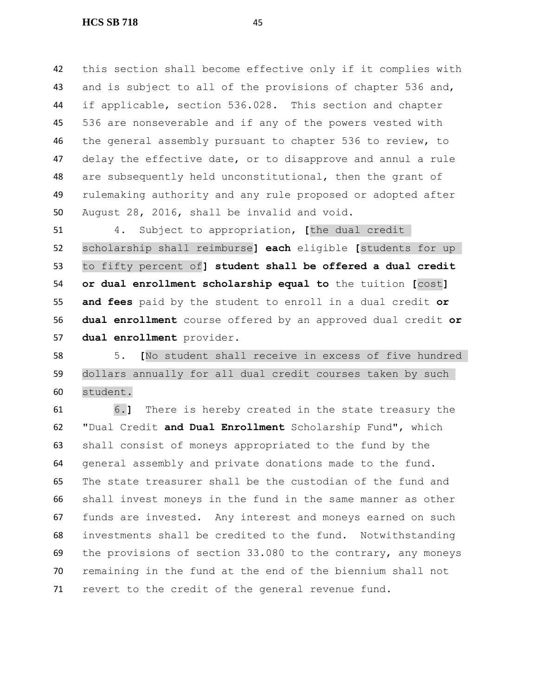this section shall become effective only if it complies with 43 and is subject to all of the provisions of chapter 536 and, if applicable, section 536.028. This section and chapter 536 are nonseverable and if any of the powers vested with the general assembly pursuant to chapter 536 to review, to delay the effective date, or to disapprove and annul a rule are subsequently held unconstitutional, then the grant of rulemaking authority and any rule proposed or adopted after August 28, 2016, shall be invalid and void.

 4. Subject to appropriation, **[**the dual credit scholarship shall reimburse**] each** eligible **[**students for up to fifty percent of**] student shall be offered a dual credit or dual enrollment scholarship equal to** the tuition **[**cost**] and fees** paid by the student to enroll in a dual credit **or dual enrollment** course offered by an approved dual credit **or dual enrollment** provider.

 5. **[**No student shall receive in excess of five hundred dollars annually for all dual credit courses taken by such student.

 6.**]** There is hereby created in the state treasury the "Dual Credit **and Dual Enrollment** Scholarship Fund", which shall consist of moneys appropriated to the fund by the general assembly and private donations made to the fund. The state treasurer shall be the custodian of the fund and shall invest moneys in the fund in the same manner as other funds are invested. Any interest and moneys earned on such investments shall be credited to the fund. Notwithstanding the provisions of section 33.080 to the contrary, any moneys remaining in the fund at the end of the biennium shall not revert to the credit of the general revenue fund.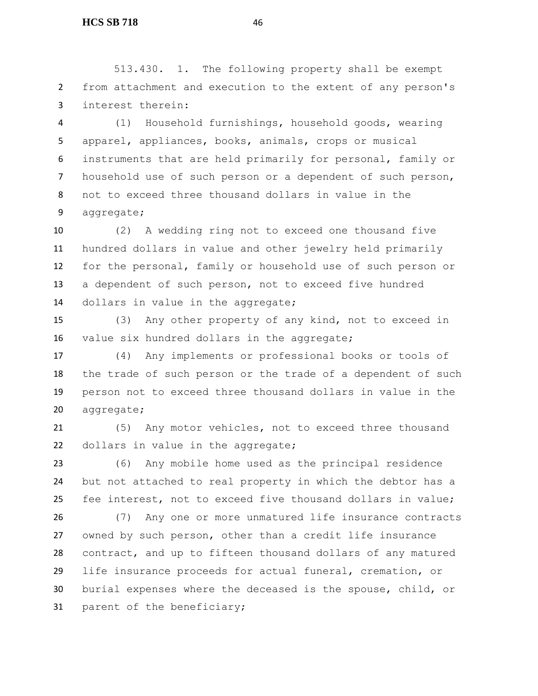513.430. 1. The following property shall be exempt from attachment and execution to the extent of any person's interest therein:

 (1) Household furnishings, household goods, wearing apparel, appliances, books, animals, crops or musical instruments that are held primarily for personal, family or household use of such person or a dependent of such person, not to exceed three thousand dollars in value in the aggregate;

 (2) A wedding ring not to exceed one thousand five hundred dollars in value and other jewelry held primarily for the personal, family or household use of such person or a dependent of such person, not to exceed five hundred 14 dollars in value in the aggregate;

 (3) Any other property of any kind, not to exceed in value six hundred dollars in the aggregate;

 (4) Any implements or professional books or tools of the trade of such person or the trade of a dependent of such person not to exceed three thousand dollars in value in the aggregate;

 (5) Any motor vehicles, not to exceed three thousand dollars in value in the aggregate;

 (6) Any mobile home used as the principal residence but not attached to real property in which the debtor has a fee interest, not to exceed five thousand dollars in value;

 (7) Any one or more unmatured life insurance contracts owned by such person, other than a credit life insurance contract, and up to fifteen thousand dollars of any matured life insurance proceeds for actual funeral, cremation, or burial expenses where the deceased is the spouse, child, or parent of the beneficiary;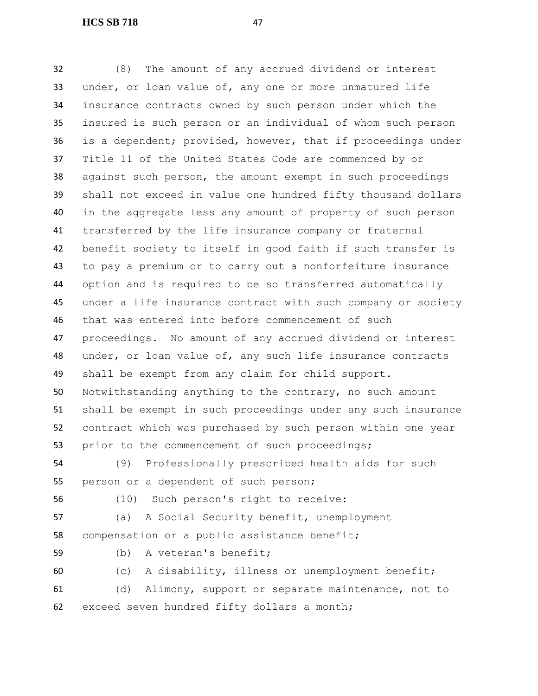**HCS SB 718** 47

 (8) The amount of any accrued dividend or interest under, or loan value of, any one or more unmatured life insurance contracts owned by such person under which the insured is such person or an individual of whom such person is a dependent; provided, however, that if proceedings under Title 11 of the United States Code are commenced by or against such person, the amount exempt in such proceedings shall not exceed in value one hundred fifty thousand dollars in the aggregate less any amount of property of such person transferred by the life insurance company or fraternal benefit society to itself in good faith if such transfer is to pay a premium or to carry out a nonforfeiture insurance option and is required to be so transferred automatically under a life insurance contract with such company or society that was entered into before commencement of such proceedings. No amount of any accrued dividend or interest under, or loan value of, any such life insurance contracts shall be exempt from any claim for child support. Notwithstanding anything to the contrary, no such amount shall be exempt in such proceedings under any such insurance contract which was purchased by such person within one year prior to the commencement of such proceedings; (9) Professionally prescribed health aids for such person or a dependent of such person; (10) Such person's right to receive: (a) A Social Security benefit, unemployment compensation or a public assistance benefit; (b) A veteran's benefit; (c) A disability, illness or unemployment benefit; (d) Alimony, support or separate maintenance, not to exceed seven hundred fifty dollars a month;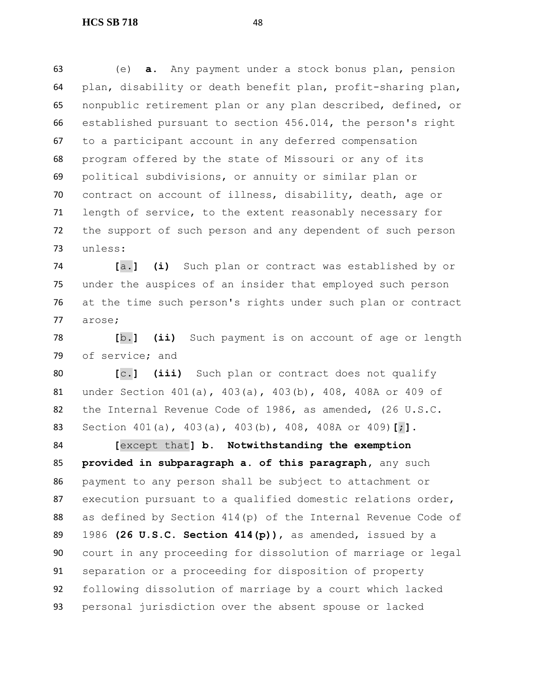(e) **a.** Any payment under a stock bonus plan, pension plan, disability or death benefit plan, profit-sharing plan, nonpublic retirement plan or any plan described, defined, or established pursuant to section 456.014, the person's right to a participant account in any deferred compensation program offered by the state of Missouri or any of its political subdivisions, or annuity or similar plan or contract on account of illness, disability, death, age or length of service, to the extent reasonably necessary for the support of such person and any dependent of such person unless:

 **[**a.**] (i)** Such plan or contract was established by or under the auspices of an insider that employed such person at the time such person's rights under such plan or contract arose;

 **[**b.**] (ii)** Such payment is on account of age or length of service; and

 **[**c.**] (iii)** Such plan or contract does not qualify under Section 401(a), 403(a), 403(b), 408, 408A or 409 of the Internal Revenue Code of 1986, as amended, (26 U.S.C. Section 401(a), 403(a), 403(b), 408, 408A or 409)**[**;**].**

 **[**except that**] b. Notwithstanding the exemption provided in subparagraph a. of this paragraph,** any such payment to any person shall be subject to attachment or 87 execution pursuant to a qualified domestic relations order, as defined by Section 414(p) of the Internal Revenue Code of 1986 **(26 U.S.C. Section 414(p))**, as amended, issued by a court in any proceeding for dissolution of marriage or legal separation or a proceeding for disposition of property following dissolution of marriage by a court which lacked personal jurisdiction over the absent spouse or lacked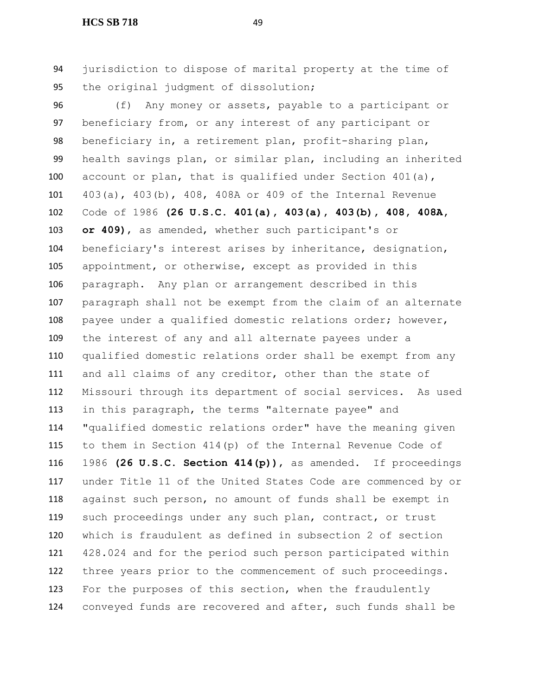#### **HCS SB 718** 49

 jurisdiction to dispose of marital property at the time of the original judgment of dissolution;

 (f) Any money or assets, payable to a participant or beneficiary from, or any interest of any participant or beneficiary in, a retirement plan, profit-sharing plan, health savings plan, or similar plan, including an inherited account or plan, that is qualified under Section 401(a), 403(a), 403(b), 408, 408A or 409 of the Internal Revenue Code of 1986 **(26 U.S.C. 401(a), 403(a), 403(b), 408, 408A, or 409)**, as amended, whether such participant's or beneficiary's interest arises by inheritance, designation, appointment, or otherwise, except as provided in this paragraph. Any plan or arrangement described in this paragraph shall not be exempt from the claim of an alternate payee under a qualified domestic relations order; however, the interest of any and all alternate payees under a qualified domestic relations order shall be exempt from any and all claims of any creditor, other than the state of Missouri through its department of social services. As used in this paragraph, the terms "alternate payee" and "qualified domestic relations order" have the meaning given to them in Section 414(p) of the Internal Revenue Code of 1986 **(26 U.S.C. Section 414(p))**, as amended. If proceedings under Title 11 of the United States Code are commenced by or against such person, no amount of funds shall be exempt in such proceedings under any such plan, contract, or trust which is fraudulent as defined in subsection 2 of section 428.024 and for the period such person participated within three years prior to the commencement of such proceedings. For the purposes of this section, when the fraudulently conveyed funds are recovered and after, such funds shall be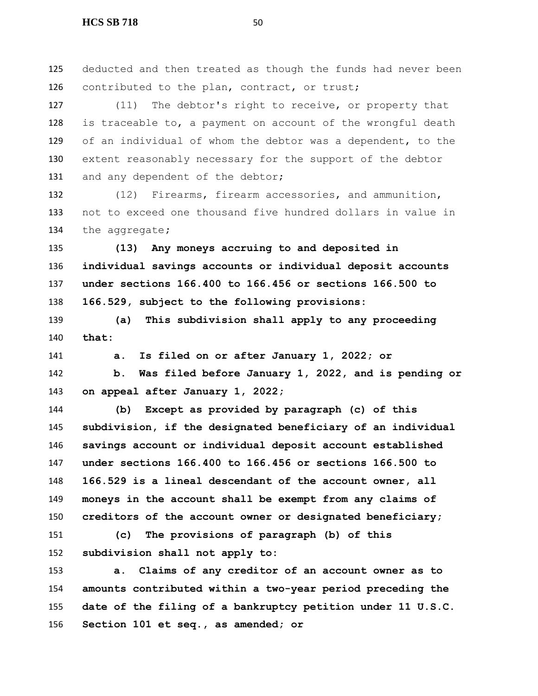deducted and then treated as though the funds had never been 126 contributed to the plan, contract, or trust;

 (11) The debtor's right to receive, or property that is traceable to, a payment on account of the wrongful death of an individual of whom the debtor was a dependent, to the extent reasonably necessary for the support of the debtor 131 and any dependent of the debtor;

 (12) Firearms, firearm accessories, and ammunition, not to exceed one thousand five hundred dollars in value in the aggregate**;**

 **(13) Any moneys accruing to and deposited in individual savings accounts or individual deposit accounts under sections 166.400 to 166.456 or sections 166.500 to 166.529, subject to the following provisions:**

 **(a) This subdivision shall apply to any proceeding that:**

**a. Is filed on or after January 1, 2022; or**

 **b. Was filed before January 1, 2022, and is pending or on appeal after January 1, 2022;**

 **(b) Except as provided by paragraph (c) of this subdivision, if the designated beneficiary of an individual savings account or individual deposit account established under sections 166.400 to 166.456 or sections 166.500 to 166.529 is a lineal descendant of the account owner, all moneys in the account shall be exempt from any claims of creditors of the account owner or designated beneficiary;**

 **(c) The provisions of paragraph (b) of this subdivision shall not apply to:**

 **a. Claims of any creditor of an account owner as to amounts contributed within a two-year period preceding the date of the filing of a bankruptcy petition under 11 U.S.C. Section 101 et seq., as amended; or**